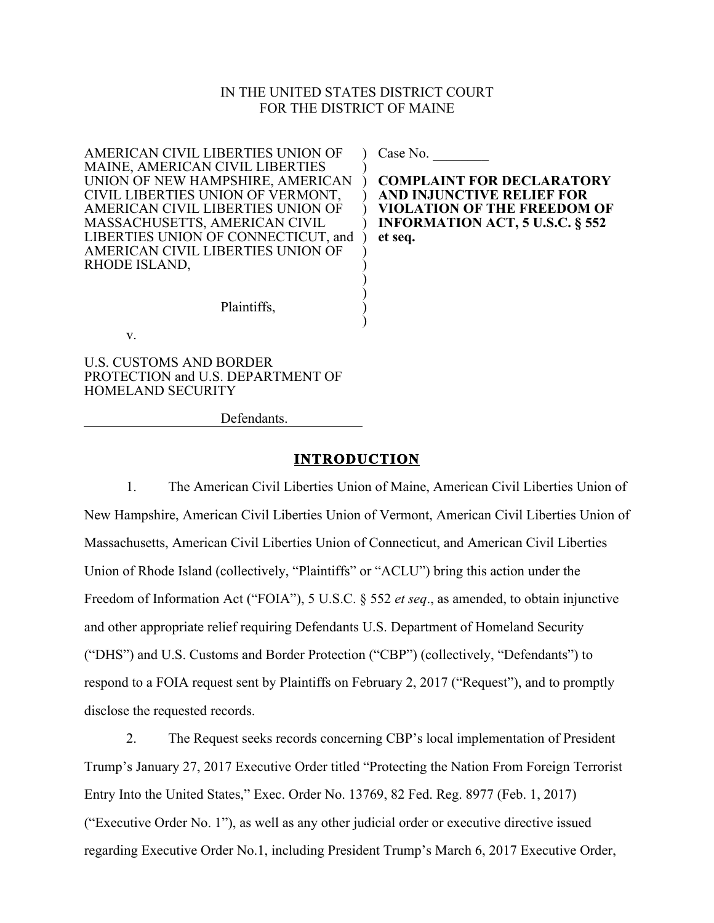#### IN THE UNITED STATES DISTRICT COURT FOR THE DISTRICT OF MAINE

) ) ) ) ) ) ) ) ) ) ) ) )

AMERICAN CIVIL LIBERTIES UNION OF MAINE, AMERICAN CIVIL LIBERTIES UNION OF NEW HAMPSHIRE, AMERICAN CIVIL LIBERTIES UNION OF VERMONT, AMERICAN CIVIL LIBERTIES UNION OF MASSACHUSETTS, AMERICAN CIVIL LIBERTIES UNION OF CONNECTICUT, and AMERICAN CIVIL LIBERTIES UNION OF RHODE ISLAND,

Case No.

**COMPLAINT FOR DECLARATORY AND INJUNCTIVE RELIEF FOR VIOLATION OF THE FREEDOM OF INFORMATION ACT, 5 U.S.C. § 552 et seq.**

Plaintiffs,

v.

U.S. CUSTOMS AND BORDER PROTECTION and U.S. DEPARTMENT OF HOMELAND SECURITY

Defendants.

#### **INTRODUCTION**

1. The American Civil Liberties Union of Maine, American Civil Liberties Union of New Hampshire, American Civil Liberties Union of Vermont, American Civil Liberties Union of Massachusetts, American Civil Liberties Union of Connecticut, and American Civil Liberties Union of Rhode Island (collectively, "Plaintiffs" or "ACLU") bring this action under the Freedom of Information Act ("FOIA"), 5 U.S.C. § 552 *et seq*., as amended, to obtain injunctive and other appropriate relief requiring Defendants U.S. Department of Homeland Security ("DHS") and U.S. Customs and Border Protection ("CBP") (collectively, "Defendants") to respond to a FOIA request sent by Plaintiffs on February 2, 2017 ("Request"), and to promptly disclose the requested records.

2. The Request seeks records concerning CBP's local implementation of President Trump's January 27, 2017 Executive Order titled "Protecting the Nation From Foreign Terrorist Entry Into the United States," Exec. Order No. 13769, 82 Fed. Reg. 8977 (Feb. 1, 2017) ("Executive Order No. 1"), as well as any other judicial order or executive directive issued regarding Executive Order No.1, including President Trump's March 6, 2017 Executive Order,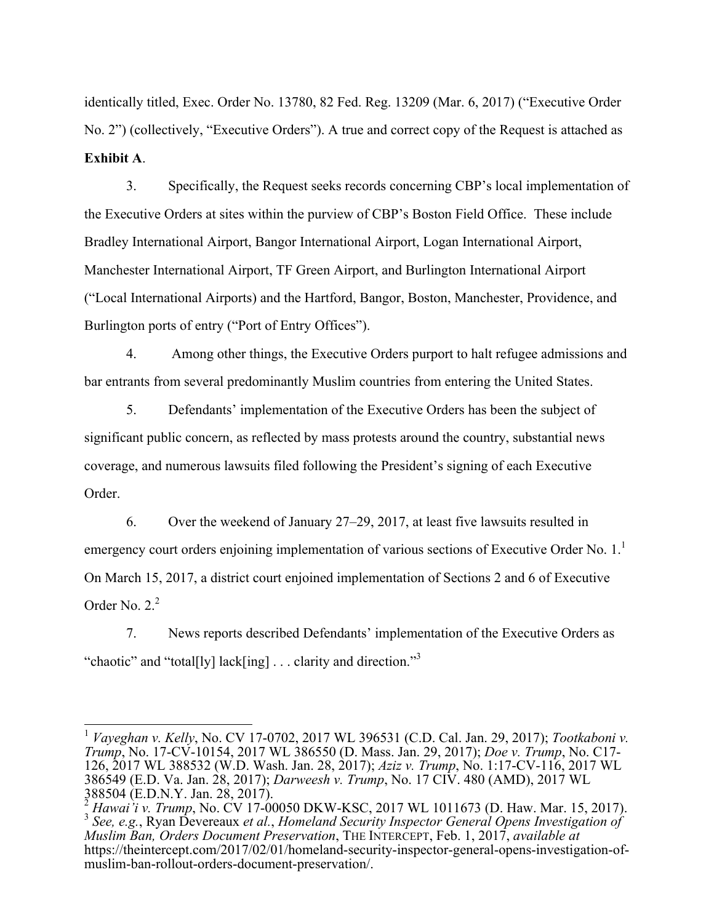identically titled, Exec. Order No. 13780, 82 Fed. Reg. 13209 (Mar. 6, 2017) ("Executive Order No. 2") (collectively, "Executive Orders"). A true and correct copy of the Request is attached as **Exhibit A**.

3. Specifically, the Request seeks records concerning CBP's local implementation of the Executive Orders at sites within the purview of CBP's Boston Field Office. These include Bradley International Airport, Bangor International Airport, Logan International Airport, Manchester International Airport, TF Green Airport, and Burlington International Airport ("Local International Airports) and the Hartford, Bangor, Boston, Manchester, Providence, and Burlington ports of entry ("Port of Entry Offices").

4. Among other things, the Executive Orders purport to halt refugee admissions and bar entrants from several predominantly Muslim countries from entering the United States.

5. Defendants' implementation of the Executive Orders has been the subject of significant public concern, as reflected by mass protests around the country, substantial news coverage, and numerous lawsuits filed following the President's signing of each Executive Order.

6. Over the weekend of January 27–29, 2017, at least five lawsuits resulted in emergency court orders enjoining implementation of various sections of Executive Order No.  $1<sup>1</sup>$ On March 15, 2017, a district court enjoined implementation of Sections 2 and 6 of Executive Order No.  $2<sup>2</sup>$ 

7. News reports described Defendants' implementation of the Executive Orders as "chaotic" and "total[ly] lack[ing] . . . clarity and direction."<sup>3</sup>

 <sup>1</sup> *Vayeghan v. Kelly*, No. CV 17-0702, 2017 WL 396531 (C.D. Cal. Jan. 29, 2017); *Tootkaboni v. Trump*, No. 17-CV-10154, 2017 WL 386550 (D. Mass. Jan. 29, 2017); *Doe v. Trump*, No. C17- 126, 2017 WL 388532 (W.D. Wash. Jan. 28, 2017); *Aziz v. Trump*, No. 1:17-CV-116, 2017 WL 386549 (E.D. Va. Jan. 28, 2017); *Darweesh v. Trump*, No. 17 CIV. 480 (AMD), 2017 WL

 $388504$  (E.D.N.Y. Jan. 28, 2017).<br>  $\frac{2}{3}$  Hawai'i v. Trump, No. CV 17-00050 DKW-KSC, 2017 WL 1011673 (D. Haw. Mar. 15, 2017).<br>  $\frac{3}{3}$  See. e.g., Ryan Devereaux *et al., Homeland Security Inspector General Opens Inv Muslim Ban, Orders Document Preservation*, THE INTERCEPT, Feb. 1, 2017, *available at*  https://theintercept.com/2017/02/01/homeland-security-inspector-general-opens-investigation-ofmuslim-ban-rollout-orders-document-preservation/.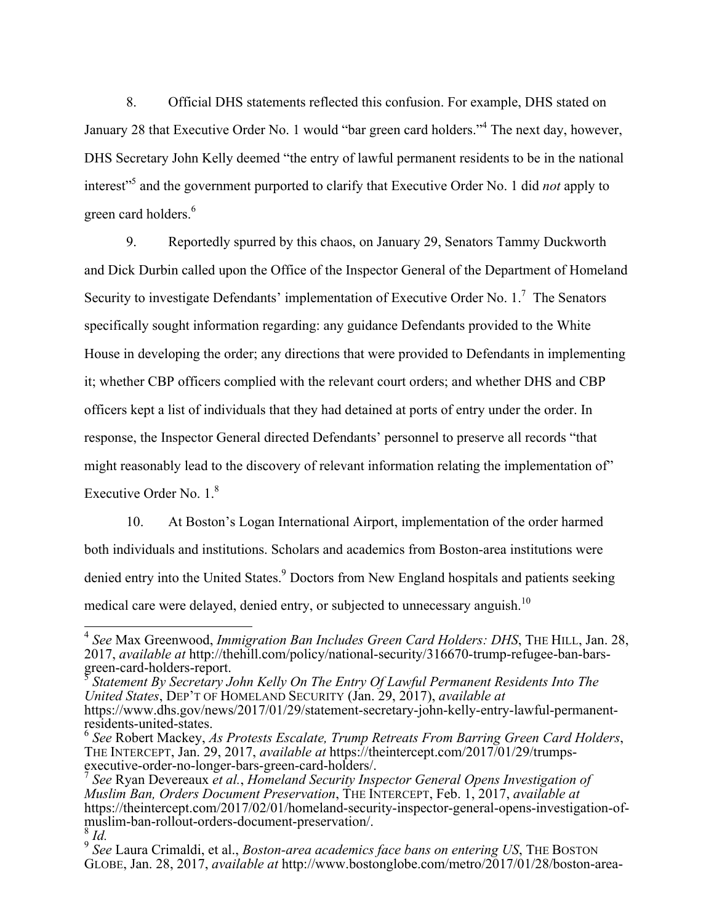8. Official DHS statements reflected this confusion. For example, DHS stated on January 28 that Executive Order No. 1 would "bar green card holders."<sup>4</sup> The next day, however, DHS Secretary John Kelly deemed "the entry of lawful permanent residents to be in the national interest<sup>"5</sup> and the government purported to clarify that Executive Order No. 1 did *not* apply to green card holders.<sup>6</sup>

9. Reportedly spurred by this chaos, on January 29, Senators Tammy Duckworth and Dick Durbin called upon the Office of the Inspector General of the Department of Homeland Security to investigate Defendants' implementation of Executive Order No.  $1.^{7}$  The Senators specifically sought information regarding: any guidance Defendants provided to the White House in developing the order; any directions that were provided to Defendants in implementing it; whether CBP officers complied with the relevant court orders; and whether DHS and CBP officers kept a list of individuals that they had detained at ports of entry under the order. In response, the Inspector General directed Defendants' personnel to preserve all records "that might reasonably lead to the discovery of relevant information relating the implementation of" Executive Order No.  $1<sup>8</sup>$ 

10. At Boston's Logan International Airport, implementation of the order harmed both individuals and institutions. Scholars and academics from Boston-area institutions were denied entry into the United States.<sup>9</sup> Doctors from New England hospitals and patients seeking medical care were delayed, denied entry, or subjected to unnecessary anguish.<sup>10</sup>

 <sup>4</sup> *See* Max Greenwood, *Immigration Ban Includes Green Card Holders: DHS*, THE HILL, Jan. 28, 2017, *available at* http://thehill.com/policy/national-security/316670-trump-refugee-ban-bars-green-card-holders-report.

<sup>&</sup>lt;sup>'</sup>Statement By Secretary John Kelly On The Entry Of Lawful Permanent Residents Into The *United States*, DEP'T OF HOMELAND SECURITY (Jan. 29, 2017), *available at* 

https://www.dhs.gov/news/2017/01/29/statement-secretary-john-kelly-entry-lawful-permanent-

<sup>&</sup>lt;sup>6</sup> See Robert Mackey, *As Protests Escalate, Trump Retreats From Barring Green Card Holders,* THE INTERCEPT, Jan. 29, 2017, *available at* https://theintercept.com/2017/01/29/trumps-<br>executive-order-no-longer-bars-green-card-holders/.

<sup>&</sup>lt;sup>7</sup> See Ryan Devereaux *et al., Homeland Security Inspector General Opens Investigation of Muslim Ban, Orders Document Preservation*, THE INTERCEPT, Feb. 1, 2017, *available at*  https://theintercept.com/2017/02/01/homeland-security-inspector-general-opens-investigation-ofmuslim-ban-rollout-orders-document-preservation/. <sup>8</sup> *Id.*

<sup>9</sup> *See* Laura Crimaldi, et al., *Boston-area academics face bans on entering US*, THE BOSTON GLOBE, Jan. 28, 2017, *available at* http://www.bostonglobe.com/metro/2017/01/28/boston-area-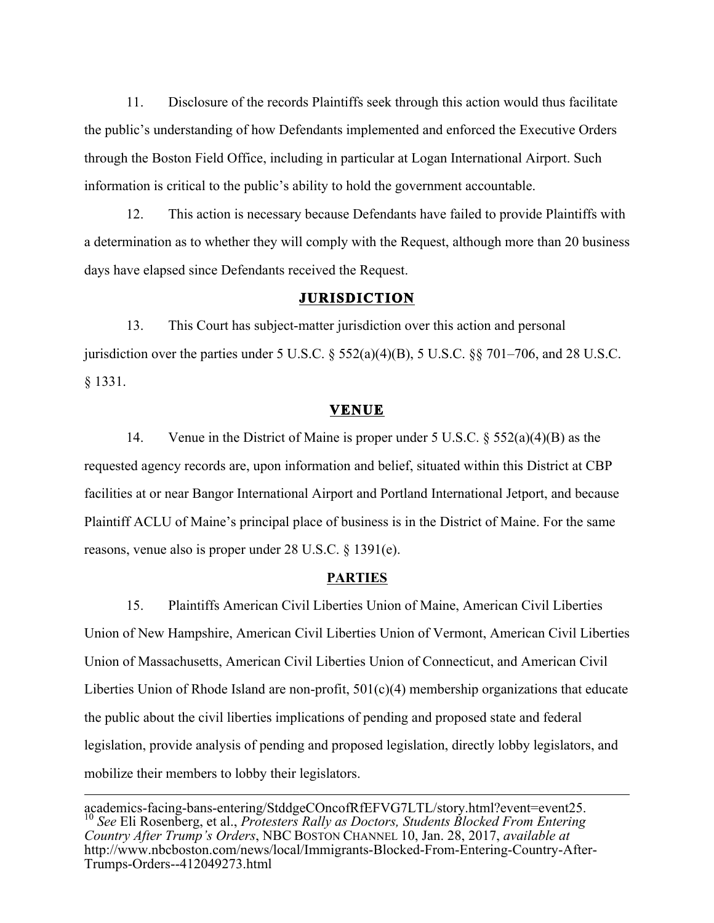11. Disclosure of the records Plaintiffs seek through this action would thus facilitate the public's understanding of how Defendants implemented and enforced the Executive Orders through the Boston Field Office, including in particular at Logan International Airport. Such information is critical to the public's ability to hold the government accountable.

12. This action is necessary because Defendants have failed to provide Plaintiffs with a determination as to whether they will comply with the Request, although more than 20 business days have elapsed since Defendants received the Request.

#### **JURISDICTION**

13. This Court has subject-matter jurisdiction over this action and personal jurisdiction over the parties under 5 U.S.C. § 552(a)(4)(B), 5 U.S.C. §§ 701–706, and 28 U.S.C. § 1331.

#### **VENUE**

14. Venue in the District of Maine is proper under 5 U.S.C. § 552(a)(4)(B) as the requested agency records are, upon information and belief, situated within this District at CBP facilities at or near Bangor International Airport and Portland International Jetport, and because Plaintiff ACLU of Maine's principal place of business is in the District of Maine. For the same reasons, venue also is proper under 28 U.S.C. § 1391(e).

#### **PARTIES**

15. Plaintiffs American Civil Liberties Union of Maine, American Civil Liberties Union of New Hampshire, American Civil Liberties Union of Vermont, American Civil Liberties Union of Massachusetts, American Civil Liberties Union of Connecticut, and American Civil Liberties Union of Rhode Island are non-profit, 501(c)(4) membership organizations that educate the public about the civil liberties implications of pending and proposed state and federal legislation, provide analysis of pending and proposed legislation, directly lobby legislators, and mobilize their members to lobby their legislators.

 $\overline{a}$ 

academics-facing-bans-entering/StddgeCOncofRfEFVG7LTL/story.html?event=event25. 10 *See* Eli Rosenberg, et al., *Protesters Rally as Doctors, Students Blocked From Entering Country After Trump's Orders*, NBC BOSTON CHANNEL 10, Jan. 28, 2017, *available at* http://www.nbcboston.com/news/local/Immigrants-Blocked-From-Entering-Country-After-Trumps-Orders--412049273.html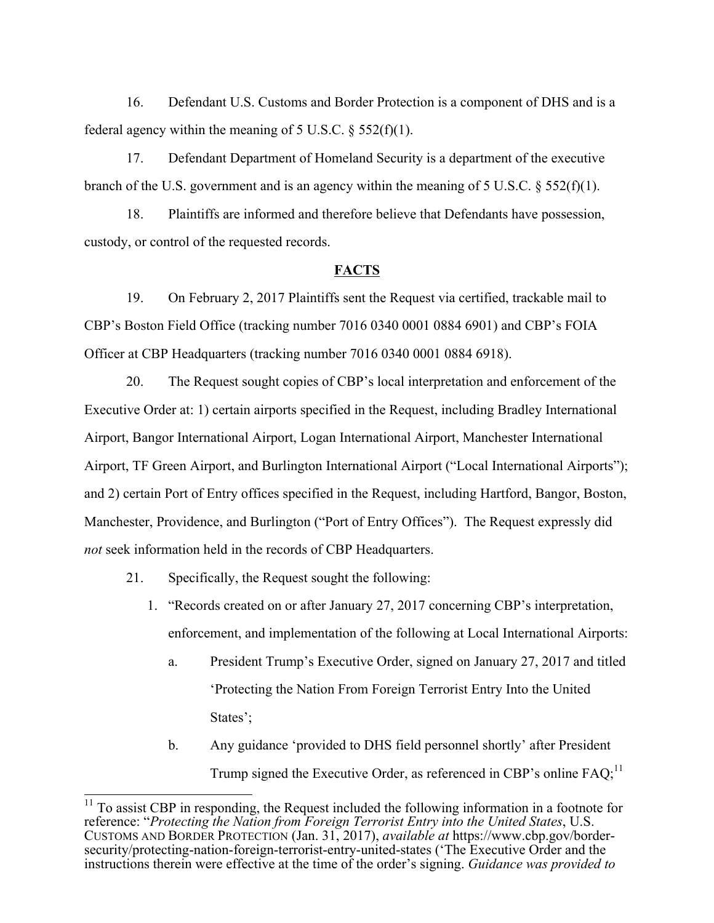16. Defendant U.S. Customs and Border Protection is a component of DHS and is a federal agency within the meaning of 5 U.S.C.  $\S$  552(f)(1).

17. Defendant Department of Homeland Security is a department of the executive branch of the U.S. government and is an agency within the meaning of 5 U.S.C. § 552(f)(1).

18. Plaintiffs are informed and therefore believe that Defendants have possession, custody, or control of the requested records.

#### **FACTS**

19. On February 2, 2017 Plaintiffs sent the Request via certified, trackable mail to CBP's Boston Field Office (tracking number 7016 0340 0001 0884 6901) and CBP's FOIA Officer at CBP Headquarters (tracking number 7016 0340 0001 0884 6918).

20. The Request sought copies of CBP's local interpretation and enforcement of the Executive Order at: 1) certain airports specified in the Request, including Bradley International Airport, Bangor International Airport, Logan International Airport, Manchester International Airport, TF Green Airport, and Burlington International Airport ("Local International Airports"); and 2) certain Port of Entry offices specified in the Request, including Hartford, Bangor, Boston, Manchester, Providence, and Burlington ("Port of Entry Offices"). The Request expressly did *not* seek information held in the records of CBP Headquarters.

- 21. Specifically, the Request sought the following:
	- 1. "Records created on or after January 27, 2017 concerning CBP's interpretation, enforcement, and implementation of the following at Local International Airports:
		- a. President Trump's Executive Order, signed on January 27, 2017 and titled 'Protecting the Nation From Foreign Terrorist Entry Into the United States';
		- b. Any guidance 'provided to DHS field personnel shortly' after President Trump signed the Executive Order, as referenced in CBP's online  $FAQ$ ;<sup>11</sup>

<sup>&</sup>lt;sup>11</sup> To assist CBP in responding, the Request included the following information in a footnote for reference: "*Protecting the Nation from Foreign Terrorist Entry into the United States*, U.S. CUSTOMS AND BORDER PROTECTION (Jan. 31, 2017), *available at* https://www.cbp.gov/bordersecurity/protecting-nation-foreign-terrorist-entry-united-states ('The Executive Order and the instructions therein were effective at the time of the order's signing. *Guidance was provided to*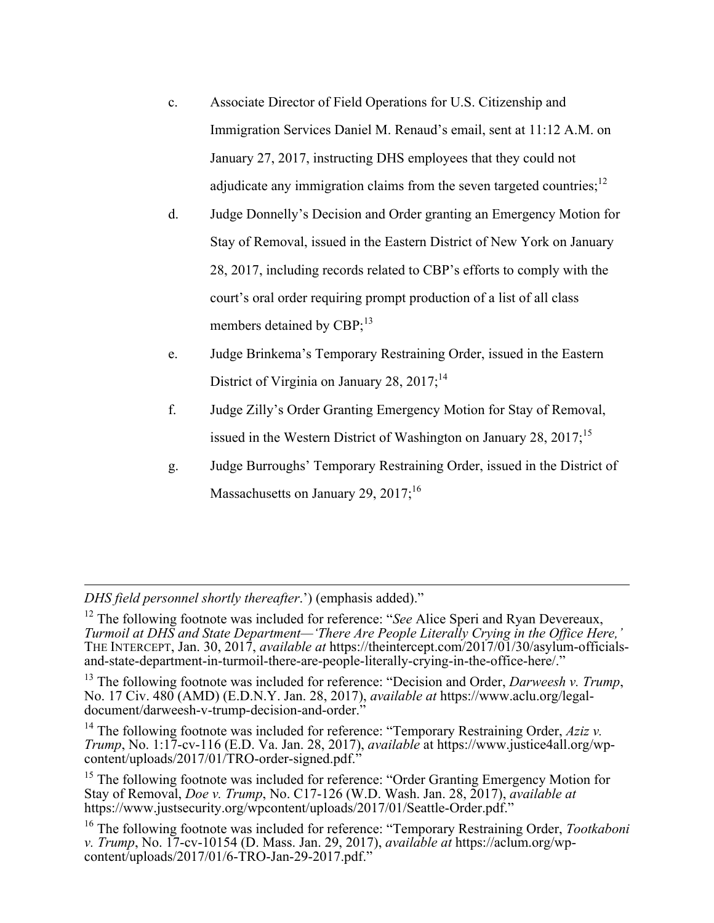- c. Associate Director of Field Operations for U.S. Citizenship and Immigration Services Daniel M. Renaud's email, sent at 11:12 A.M. on January 27, 2017, instructing DHS employees that they could not adjudicate any immigration claims from the seven targeted countries;  $^{12}$
- d. Judge Donnelly's Decision and Order granting an Emergency Motion for Stay of Removal, issued in the Eastern District of New York on January 28, 2017, including records related to CBP's efforts to comply with the court's oral order requiring prompt production of a list of all class members detained by CBP;<sup>13</sup>
- e. Judge Brinkema's Temporary Restraining Order, issued in the Eastern District of Virginia on January 28,  $2017$ ;<sup>14</sup>
- f. Judge Zilly's Order Granting Emergency Motion for Stay of Removal, issued in the Western District of Washington on January 28,  $2017$ ;<sup>15</sup>
- g. Judge Burroughs' Temporary Restraining Order, issued in the District of Massachusetts on January 29,  $2017$ ;<sup>16</sup>

 $\overline{a}$ *DHS field personnel shortly thereafter*.') (emphasis added)."

<sup>12</sup> The following footnote was included for reference: "*See* Alice Speri and Ryan Devereaux, *Turmoil at DHS and State Department—'There Are People Literally Crying in the Office Here,'* THE INTERCEPT, Jan. 30, 2017, *available at* https://theintercept.com/2017/01/30/asylum-officialsand-state-department-in-turmoil-there-are-people-literally-crying-in-the-office-here/."

<sup>13</sup> The following footnote was included for reference: "Decision and Order, *Darweesh v. Trump*, No. 17 Civ. 480 (AMD) (E.D.N.Y. Jan. 28, 2017), *available at* https://www.aclu.org/legaldocument/darweesh-v-trump-decision-and-order."

<sup>14</sup> The following footnote was included for reference: "Temporary Restraining Order,  $Aziz$  v. *Trump*, No. 1:17-cv-116 (E.D. Va. Jan. 28, 2017), *available* at https://www.justice4all.org/wpcontent/uploads/2017/01/TRO-order-signed.pdf."

<sup>15</sup> The following footnote was included for reference: "Order Granting Emergency Motion for Stay of Removal, *Doe v. Trump*, No. C17-126 (W.D. Wash. Jan. 28, 2017), *available at*  https://www.justsecurity.org/wpcontent/uploads/2017/01/Seattle-Order.pdf."

<sup>16</sup> The following footnote was included for reference: "Temporary Restraining Order, *Tootkaboni v. Trump*, No. 17-cv-10154 (D. Mass. Jan. 29, 2017), *available at* https://aclum.org/wpcontent/uploads/2017/01/6-TRO-Jan-29-2017.pdf."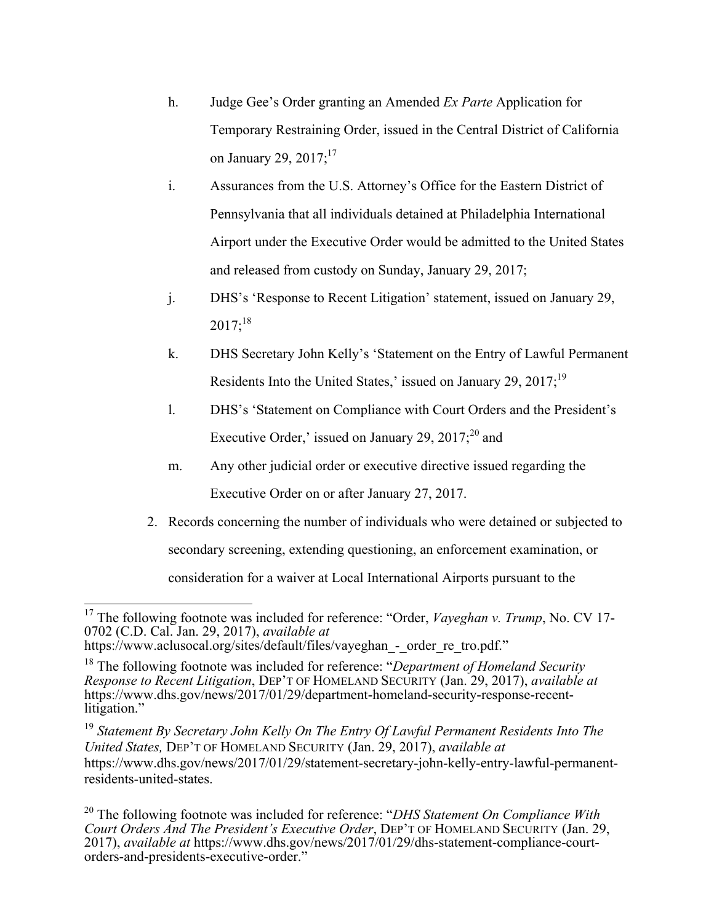- h. Judge Gee's Order granting an Amended *Ex Parte* Application for Temporary Restraining Order, issued in the Central District of California on January 29,  $2017$ ;<sup>17</sup>
- i. Assurances from the U.S. Attorney's Office for the Eastern District of Pennsylvania that all individuals detained at Philadelphia International Airport under the Executive Order would be admitted to the United States and released from custody on Sunday, January 29, 2017;
- j. DHS's 'Response to Recent Litigation' statement, issued on January 29,  $2017$ ;<sup>18</sup>
- k. DHS Secretary John Kelly's 'Statement on the Entry of Lawful Permanent Residents Into the United States,' issued on January 29, 2017;<sup>19</sup>
- l. DHS's 'Statement on Compliance with Court Orders and the President's Executive Order,' issued on January 29,  $2017$ ;<sup>20</sup> and
- m. Any other judicial order or executive directive issued regarding the Executive Order on or after January 27, 2017.
- 2. Records concerning the number of individuals who were detained or subjected to secondary screening, extending questioning, an enforcement examination, or consideration for a waiver at Local International Airports pursuant to the

<sup>17</sup> The following footnote was included for reference: "Order, *Vayeghan v. Trump*, No. CV 17- 0702 (C.D. Cal. Jan. 29, 2017), *available at* 

https://www.aclusocal.org/sites/default/files/vayeghan - order re tro.pdf."

<sup>18</sup> The following footnote was included for reference: "*Department of Homeland Security Response to Recent Litigation*, DEP'T OF HOMELAND SECURITY (Jan. 29, 2017), *available at*  https://www.dhs.gov/news/2017/01/29/department-homeland-security-response-recentlitigation."

<sup>19</sup> *Statement By Secretary John Kelly On The Entry Of Lawful Permanent Residents Into The United States,* DEP'T OF HOMELAND SECURITY (Jan. 29, 2017), *available at* https://www.dhs.gov/news/2017/01/29/statement-secretary-john-kelly-entry-lawful-permanentresidents-united-states.

<sup>20</sup> The following footnote was included for reference: "*DHS Statement On Compliance With Court Orders And The President's Executive Order*, DEP'T OF HOMELAND SECURITY (Jan. 29, 2017), *available at* https://www.dhs.gov/news/2017/01/29/dhs-statement-compliance-courtorders-and-presidents-executive-order."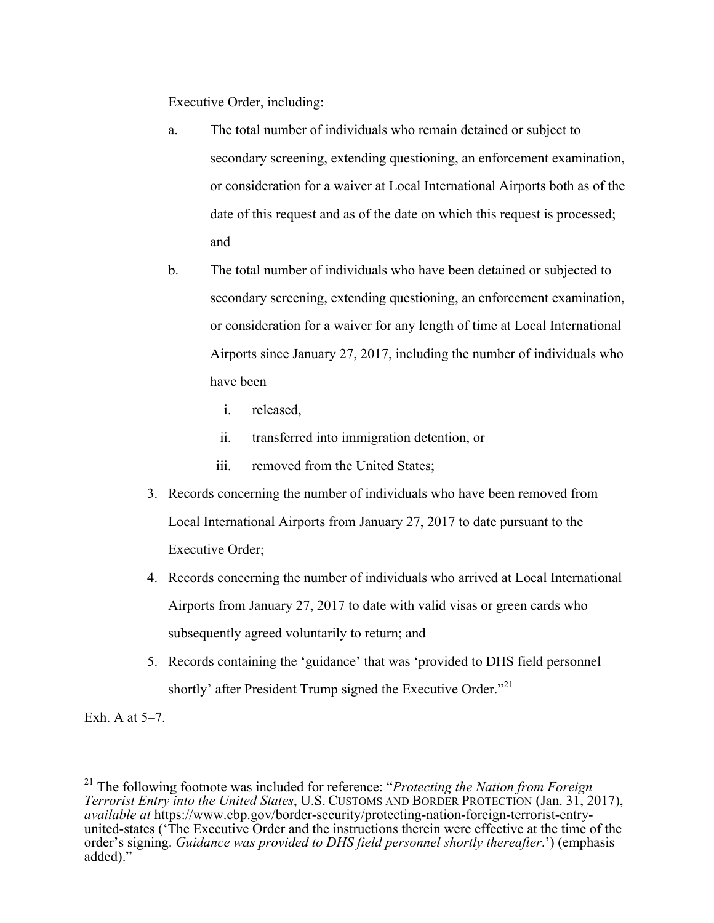Executive Order, including:

- a. The total number of individuals who remain detained or subject to secondary screening, extending questioning, an enforcement examination, or consideration for a waiver at Local International Airports both as of the date of this request and as of the date on which this request is processed; and
- b. The total number of individuals who have been detained or subjected to secondary screening, extending questioning, an enforcement examination, or consideration for a waiver for any length of time at Local International Airports since January 27, 2017, including the number of individuals who have been
	- i. released,
	- ii. transferred into immigration detention, or
	- iii. removed from the United States;
- 3. Records concerning the number of individuals who have been removed from Local International Airports from January 27, 2017 to date pursuant to the Executive Order;
- 4. Records concerning the number of individuals who arrived at Local International Airports from January 27, 2017 to date with valid visas or green cards who subsequently agreed voluntarily to return; and
- 5. Records containing the 'guidance' that was 'provided to DHS field personnel shortly' after President Trump signed the Executive Order."<sup>21</sup>

Exh. A at 5–7.

 <sup>21</sup> The following footnote was included for reference: "*Protecting the Nation from Foreign Terrorist Entry into the United States*, U.S. CUSTOMS AND BORDER PROTECTION (Jan. 31, 2017), *available at* https://www.cbp.gov/border-security/protecting-nation-foreign-terrorist-entryunited-states ('The Executive Order and the instructions therein were effective at the time of the order's signing. *Guidance was provided to DHS field personnel shortly thereafter*.') (emphasis added)."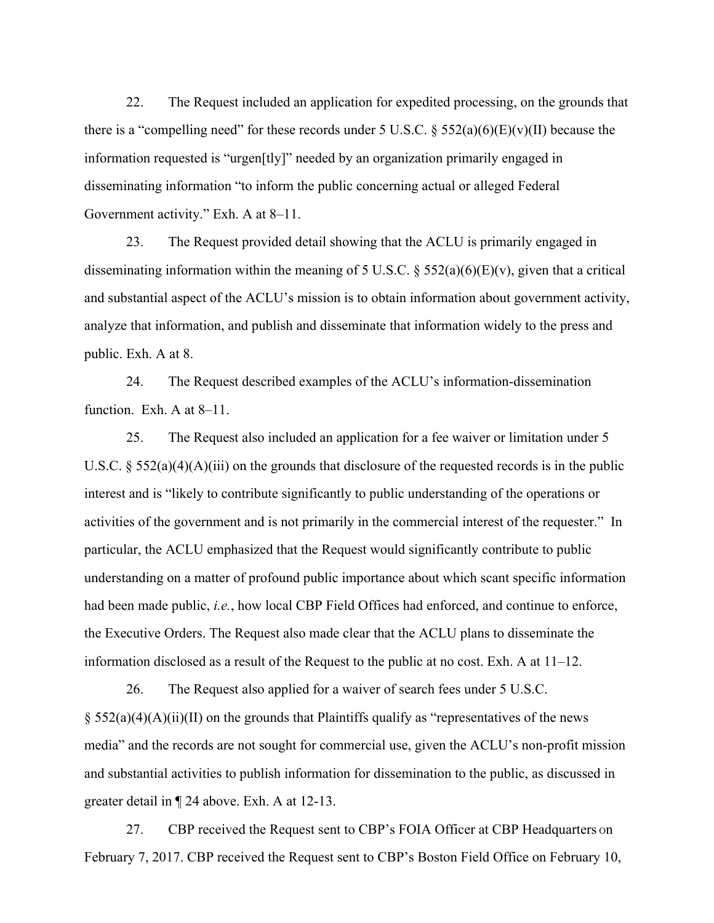22. The Request included an application for expedited processing, on the grounds that there is a "compelling need" for these records under 5 U.S.C.  $\S$  552(a)(6)(E)(v)(II) because the information requested is "urgen[tly]" needed by an organization primarily engaged in disseminating information "to inform the public concerning actual or alleged Federal Government activity." Exh. A at 8–11.

23. The Request provided detail showing that the ACLU is primarily engaged in disseminating information within the meaning of 5 U.S.C.  $\S$  552(a)(6)(E)(v), given that a critical and substantial aspect of the ACLU's mission is to obtain information about government activity, analyze that information, and publish and disseminate that information widely to the press and public. Exh. A at 8.

24. The Request described examples of the ACLU's information-dissemination function. Exh. A at 8–11.

25. The Request also included an application for a fee waiver or limitation under 5 U.S.C. § 552(a)(4)(A)(iii) on the grounds that disclosure of the requested records is in the public interest and is "likely to contribute significantly to public understanding of the operations or activities of the government and is not primarily in the commercial interest of the requester." In particular, the ACLU emphasized that the Request would significantly contribute to public understanding on a matter of profound public importance about which scant specific information had been made public, *i.e.*, how local CBP Field Offices had enforced, and continue to enforce, the Executive Orders. The Request also made clear that the ACLU plans to disseminate the information disclosed as a result of the Request to the public at no cost. Exh. A at 11–12.

26. The Request also applied for a waiver of search fees under 5 U.S.C.  $\S$  552(a)(4)(A)(ii)(II) on the grounds that Plaintiffs qualify as "representatives of the news media" and the records are not sought for commercial use, given the ACLU's non-profit mission and substantial activities to publish information for dissemination to the public, as discussed in greater detail in ¶ 24 above. Exh. A at 12-13.

27. CBP received the Request sent to CBP's FOIA Officer at CBP Headquarters on February 7, 2017. CBP received the Request sent to CBP's Boston Field Office on February 10,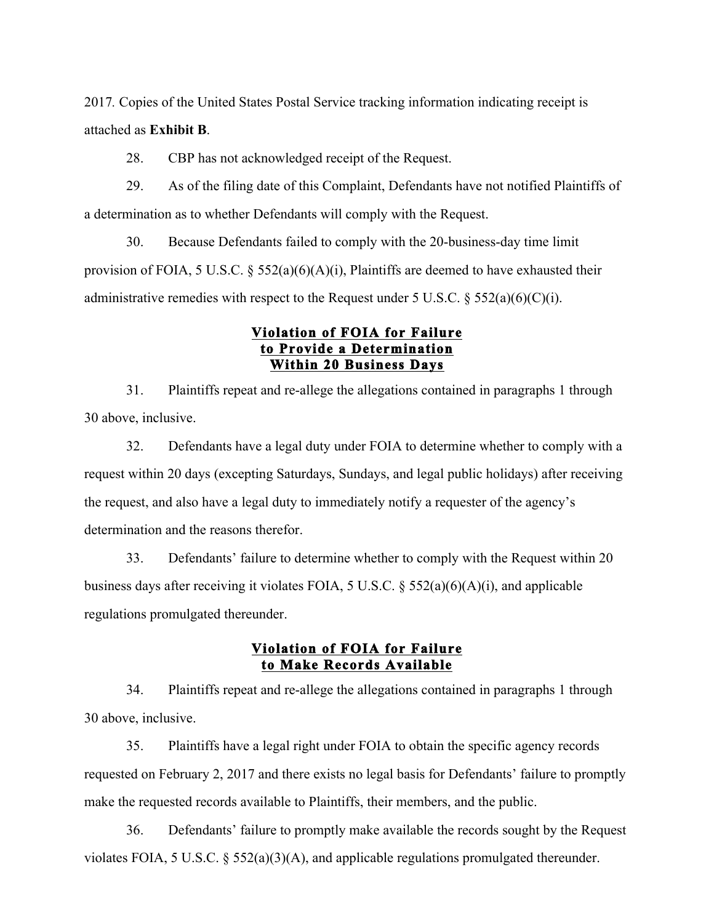2017*.* Copies of the United States Postal Service tracking information indicating receipt is attached as **Exhibit B**.

28. CBP has not acknowledged receipt of the Request.

29. As of the filing date of this Complaint, Defendants have not notified Plaintiffs of a determination as to whether Defendants will comply with the Request.

30. Because Defendants failed to comply with the 20-business-day time limit provision of FOIA, 5 U.S.C.  $\S$  552(a)(6)(A)(i), Plaintiffs are deemed to have exhausted their administrative remedies with respect to the Request under 5 U.S.C.  $\S$  552(a)(6)(C)(i).

#### **Violation of FOIA for Failure to Provide a Determination Within 20 Business Days**

31. Plaintiffs repeat and re-allege the allegations contained in paragraphs 1 through 30 above, inclusive.

32. Defendants have a legal duty under FOIA to determine whether to comply with a request within 20 days (excepting Saturdays, Sundays, and legal public holidays) after receiving the request, and also have a legal duty to immediately notify a requester of the agency's determination and the reasons therefor.

33. Defendants' failure to determine whether to comply with the Request within 20 business days after receiving it violates FOIA, 5 U.S.C. § 552(a)(6)(A)(i), and applicable regulations promulgated thereunder.

## **Violation of FOIA for Failure to Make Records Available**

34. Plaintiffs repeat and re-allege the allegations contained in paragraphs 1 through 30 above, inclusive.

35. Plaintiffs have a legal right under FOIA to obtain the specific agency records requested on February 2, 2017 and there exists no legal basis for Defendants' failure to promptly make the requested records available to Plaintiffs, their members, and the public.

36. Defendants' failure to promptly make available the records sought by the Request violates FOIA, 5 U.S.C. § 552(a)(3)(A), and applicable regulations promulgated thereunder.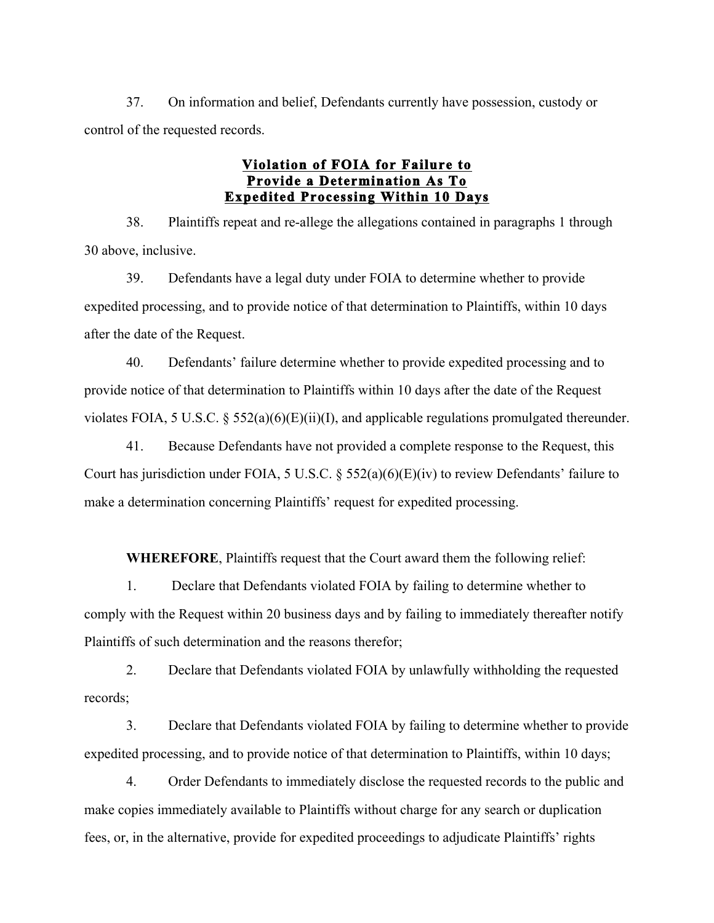37. On information and belief, Defendants currently have possession, custody or control of the requested records.

## **Violation of FOIA for Failure to Provide a Determination As To Expedited Processing Within 10 Days**

38. Plaintiffs repeat and re-allege the allegations contained in paragraphs 1 through 30 above, inclusive.

39. Defendants have a legal duty under FOIA to determine whether to provide expedited processing, and to provide notice of that determination to Plaintiffs, within 10 days after the date of the Request.

40. Defendants' failure determine whether to provide expedited processing and to provide notice of that determination to Plaintiffs within 10 days after the date of the Request violates FOIA, 5 U.S.C. § 552(a)(6)(E)(ii)(I), and applicable regulations promulgated thereunder.

41. Because Defendants have not provided a complete response to the Request, this Court has jurisdiction under FOIA, 5 U.S.C. § 552(a)(6)(E)(iv) to review Defendants' failure to make a determination concerning Plaintiffs' request for expedited processing.

**WHEREFORE**, Plaintiffs request that the Court award them the following relief:

1. Declare that Defendants violated FOIA by failing to determine whether to comply with the Request within 20 business days and by failing to immediately thereafter notify Plaintiffs of such determination and the reasons therefor;

2. Declare that Defendants violated FOIA by unlawfully withholding the requested records;

3. Declare that Defendants violated FOIA by failing to determine whether to provide expedited processing, and to provide notice of that determination to Plaintiffs, within 10 days;

4. Order Defendants to immediately disclose the requested records to the public and make copies immediately available to Plaintiffs without charge for any search or duplication fees, or, in the alternative, provide for expedited proceedings to adjudicate Plaintiffs' rights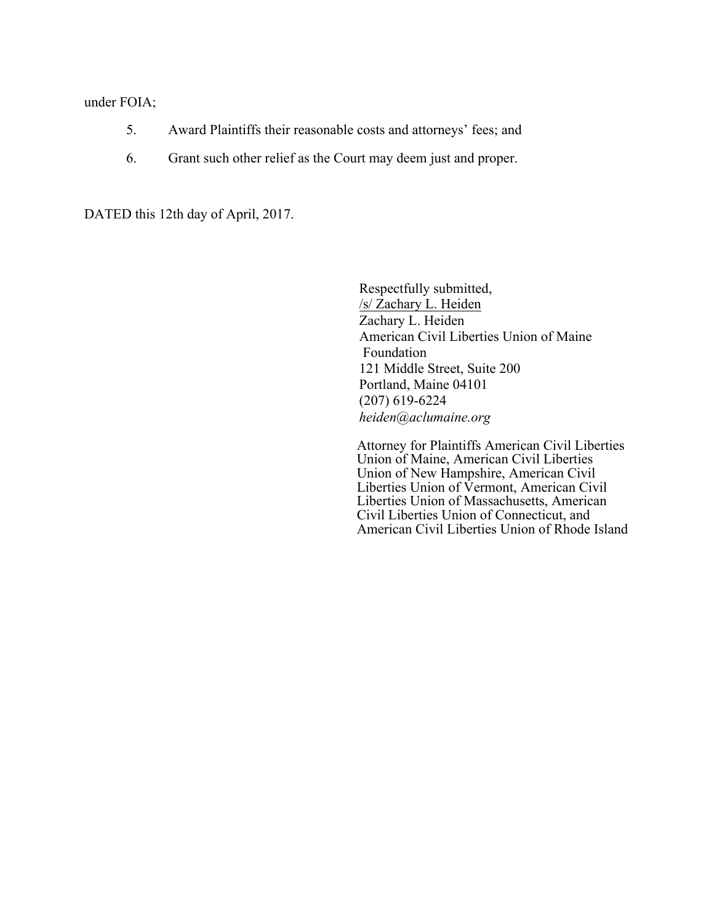#### under FOIA;

- 5. Award Plaintiffs their reasonable costs and attorneys' fees; and
- 6. Grant such other relief as the Court may deem just and proper.

DATED this 12th day of April, 2017.

Respectfully submitted, /s/ Zachary L. Heiden Zachary L. Heiden American Civil Liberties Union of Maine Foundation 121 Middle Street, Suite 200 Portland, Maine 04101 (207) 619-6224 *heiden@aclumaine.org*

Attorney for Plaintiffs American Civil Liberties Union of Maine, American Civil Liberties Union of New Hampshire, American Civil Liberties Union of Vermont, American Civil Liberties Union of Massachusetts, American Civil Liberties Union of Connecticut, and American Civil Liberties Union of Rhode Island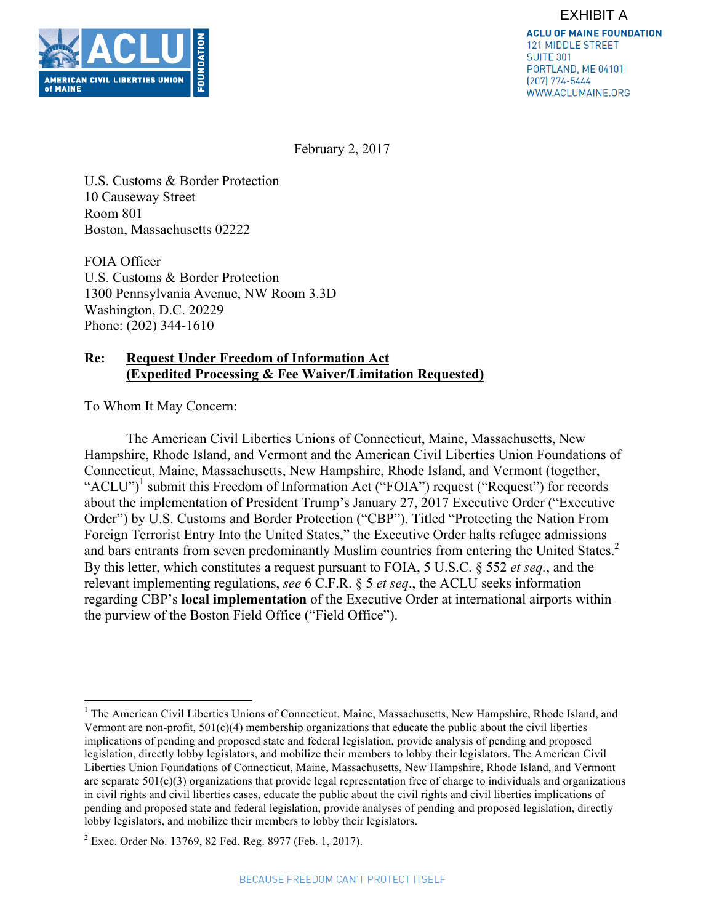

February 2, 2017

U.S. Customs & Border Protection 10 Causeway Street Room 801 Boston, Massachusetts 02222

FOIA Officer U.S. Customs & Border Protection 1300 Pennsylvania Avenue, NW Room 3.3D Washington, D.C. 20229 Phone: (202) 344-1610

## **Re: Request Under Freedom of Information Act (Expedited Processing & Fee Waiver/Limitation Requested)**

To Whom It May Concern:

The American Civil Liberties Unions of Connecticut, Maine, Massachusetts, New Hampshire, Rhode Island, and Vermont and the American Civil Liberties Union Foundations of Connecticut, Maine, Massachusetts, New Hampshire, Rhode Island, and Vermont (together, "ACLU")<sup>1</sup> submit this Freedom of Information Act ("FOIA") request ("Request") for records about the implementation of President Trump's January 27, 2017 Executive Order ("Executive Order") by U.S. Customs and Border Protection ("CBP"). Titled "Protecting the Nation From Foreign Terrorist Entry Into the United States," the Executive Order halts refugee admissions and bars entrants from seven predominantly Muslim countries from entering the United States.<sup>2</sup> By this letter, which constitutes a request pursuant to FOIA, 5 U.S.C. § 552 *et seq.*, and the relevant implementing regulations, *see* 6 C.F.R. § 5 *et seq*., the ACLU seeks information regarding CBP's **local implementation** of the Executive Order at international airports within the purview of the Boston Field Office ("Field Office").

<sup>&</sup>lt;sup>1</sup> The American Civil Liberties Unions of Connecticut, Maine, Massachusetts, New Hampshire, Rhode Island, and Vermont are non-profit,  $501(c)(4)$  membership organizations that educate the public about the civil liberties implications of pending and proposed state and federal legislation, provide analysis of pending and proposed legislation, directly lobby legislators, and mobilize their members to lobby their legislators. The American Civil Liberties Union Foundations of Connecticut, Maine, Massachusetts, New Hampshire, Rhode Island, and Vermont are separate  $501(c)(3)$  organizations that provide legal representation free of charge to individuals and organizations in civil rights and civil liberties cases, educate the public about the civil rights and civil liberties implications of pending and proposed state and federal legislation, provide analyses of pending and proposed legislation, directly lobby legislators, and mobilize their members to lobby their legislators.

<sup>2</sup> Exec. Order No. 13769, 82 Fed. Reg. 8977 (Feb. 1, 2017).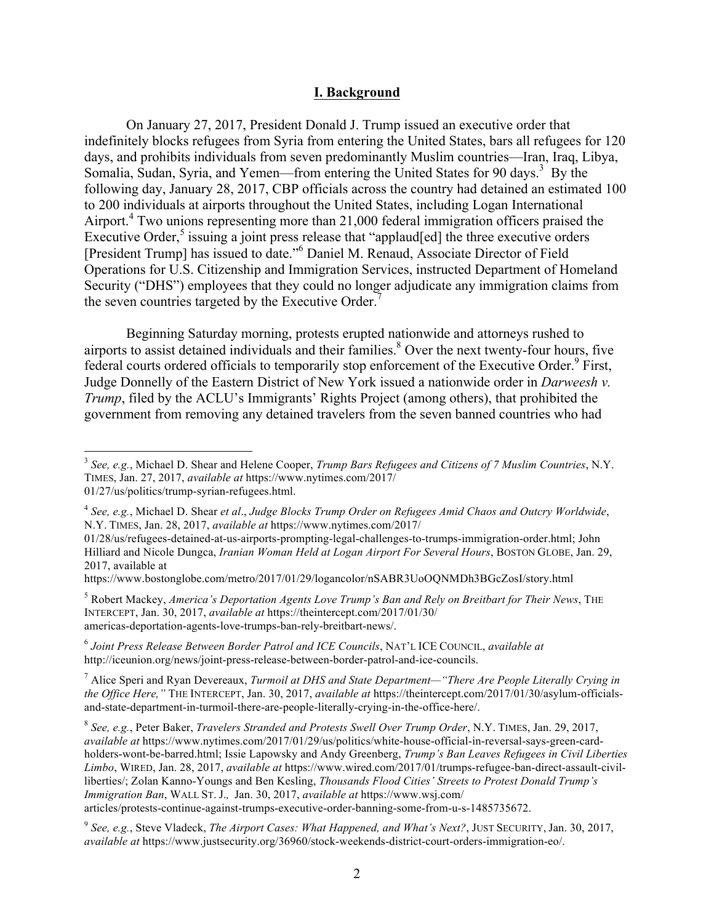#### **I. Background**

On January 27, 2017, President Donald J. Trump issued an executive order that indefinitely blocks refugees from Syria from entering the United States, bars all refugees for 120 days, and prohibits individuals from seven predominantly Muslim countries—Iran, Iraq, Libya, Somalia, Sudan, Syria, and Yemen—from entering the United States for 90 days.<sup>3</sup> By the following day, January 28, 2017, CBP officials across the country had detained an estimated 100 to 200 individuals at airports throughout the United States, including Logan International Airport. <sup>4</sup> Two unions representing more than 21,000 federal immigration officers praised the Executive Order, $5$  issuing a joint press release that "applaud[ed] the three executive orders [President Trump] has issued to date."6 Daniel M. Renaud, Associate Director of Field Operations for U.S. Citizenship and Immigration Services, instructed Department of Homeland Security ("DHS") employees that they could no longer adjudicate any immigration claims from the seven countries targeted by the Executive Order.<sup>7</sup>

Beginning Saturday morning, protests erupted nationwide and attorneys rushed to airports to assist detained individuals and their families.<sup>8</sup> Over the next twenty-four hours, five federal courts ordered officials to temporarily stop enforcement of the Executive Order.<sup>9</sup> First, Judge Donnelly of the Eastern District of New York issued a nationwide order in *Darweesh v. Trump*, filed by the ACLU's Immigrants' Rights Project (among others), that prohibited the government from removing any detained travelers from the seven banned countries who had

01/28/us/refugees-detained-at-us-airports-prompting-legal-challenges-to-trumps-immigration-order.html; John Hilliard and Nicole Dungca, *Iranian Woman Held at Logan Airport For Several Hours*, BOSTON GLOBE, Jan. 29, 2017, available at

<sup>5</sup> Robert Mackey, *America's Deportation Agents Love Trump's Ban and Rely on Breitbart for Their News*, THE INTERCEPT, Jan. 30, 2017, *available at* https://theintercept.com/2017/01/30/ americas-deportation-agents-love-trumps-ban-rely-breitbart-news/.

<sup>6</sup> *Joint Press Release Between Border Patrol and ICE Councils*, NAT'L ICE COUNCIL, *available at*  http://iceunion.org/news/joint-press-release-between-border-patrol-and-ice-councils.

<sup>7</sup> Alice Speri and Ryan Devereaux, *Turmoil at DHS and State Department—"There Are People Literally Crying in the Office Here,"* THE INTERCEPT, Jan. 30, 2017, *available at https://theintercept.com/2017/01/30/asylum-officials*and-state-department-in-turmoil-there-are-people-literally-crying-in-the-office-here/.

<sup>8</sup> *See, e.g.*, Peter Baker, *Travelers Stranded and Protests Swell Over Trump Order*, N.Y. TIMES, Jan. 29, 2017, *available at* https://www.nytimes.com/2017/01/29/us/politics/white-house-official-in-reversal-says-green-cardholders-wont-be-barred.html; Issie Lapowsky and Andy Greenberg, *Trump's Ban Leaves Refugees in Civil Liberties Limbo*, WIRED, Jan. 28, 2017, *available at* https://www.wired.com/2017/01/trumps-refugee-ban-direct-assault-civilliberties/; Zolan Kanno-Youngs and Ben Kesling, *Thousands Flood Cities' Streets to Protest Donald Trump's Immigration Ban*, WALL ST. J.*,* Jan. 30, 2017, *available at* https://www.wsj.com/

articles/protests-continue-against-trumps-executive-order-banning-some-from-u-s-1485735672.

<sup>9</sup> *See, e.g.*, Steve Vladeck, *The Airport Cases: What Happened, and What's Next?*, JUST SECURITY, Jan. 30, 2017, *available at* https://www.justsecurity.org/36960/stock-weekends-district-court-orders-immigration-eo/.

 <sup>3</sup> *See, e.g.*, Michael D. Shear and Helene Cooper, *Trump Bars Refugees and Citizens of 7 Muslim Countries*, N.Y. TIMES, Jan. 27, 2017, *available at* https://www.nytimes.com/2017/ 01/27/us/politics/trump-syrian-refugees.html.

<sup>4</sup> *See, e.g.*, Michael D. Shear *et al*., *Judge Blocks Trump Order on Refugees Amid Chaos and Outcry Worldwide*, N.Y. TIMES, Jan. 28, 2017, *available at* https://www.nytimes.com/2017/

https://www.bostonglobe.com/metro/2017/01/29/logancolor/nSABR3UoOQNMDh3BGcZosI/story.html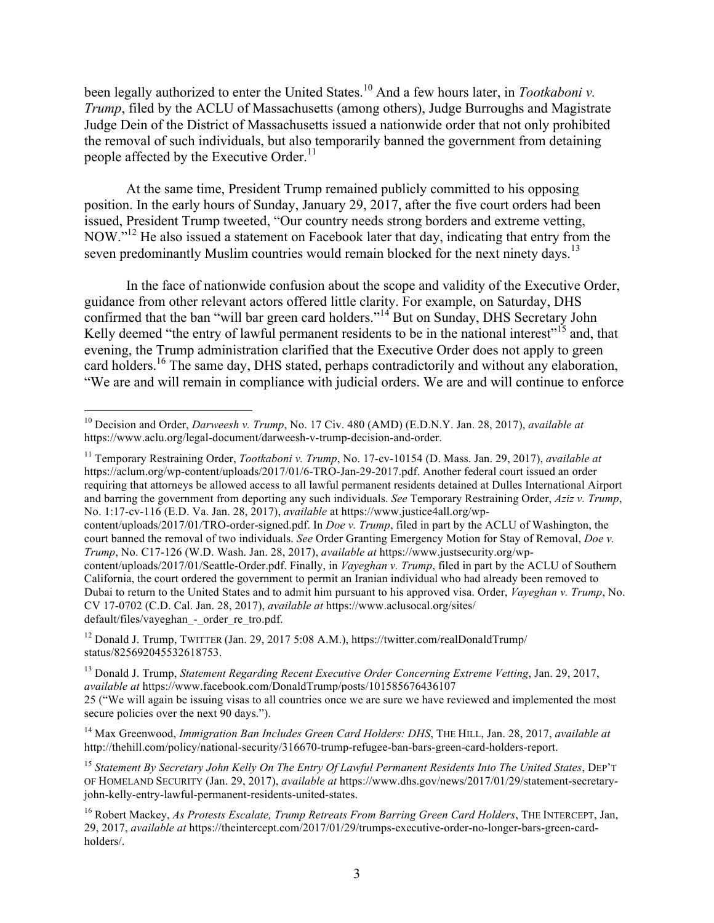been legally authorized to enter the United States.<sup>10</sup> And a few hours later, in *Tootkaboni v. Trump*, filed by the ACLU of Massachusetts (among others), Judge Burroughs and Magistrate Judge Dein of the District of Massachusetts issued a nationwide order that not only prohibited the removal of such individuals, but also temporarily banned the government from detaining people affected by the Executive Order.<sup>11</sup>

At the same time, President Trump remained publicly committed to his opposing position. In the early hours of Sunday, January 29, 2017, after the five court orders had been issued, President Trump tweeted, "Our country needs strong borders and extreme vetting, NOW."<sup>12</sup> He also issued a statement on Facebook later that day, indicating that entry from the seven predominantly Muslim countries would remain blocked for the next ninety days.<sup>13</sup>

In the face of nationwide confusion about the scope and validity of the Executive Order, guidance from other relevant actors offered little clarity. For example, on Saturday, DHS confirmed that the ban "will bar green card holders."<sup>14</sup> But on Sunday, DHS Secretary John Kelly deemed "the entry of lawful permanent residents to be in the national interest"<sup>15</sup> and, that evening, the Trump administration clarified that the Executive Order does not apply to green card holders.<sup>16</sup> The same day, DHS stated, perhaps contradictorily and without any elaboration, "We are and will remain in compliance with judicial orders. We are and will continue to enforce

<sup>11</sup> Temporary Restraining Order, *Tootkaboni v. Trump*, No. 17-cv-10154 (D. Mass. Jan. 29, 2017), *available at*  https://aclum.org/wp-content/uploads/2017/01/6-TRO-Jan-29-2017.pdf. Another federal court issued an order requiring that attorneys be allowed access to all lawful permanent residents detained at Dulles International Airport and barring the government from deporting any such individuals. *See* Temporary Restraining Order, *Aziz v. Trump*, No. 1:17-cv-116 (E.D. Va. Jan. 28, 2017), *available* at https://www.justice4all.org/wp-

content/uploads/2017/01/TRO-order-signed.pdf. In *Doe v. Trump*, filed in part by the ACLU of Washington, the court banned the removal of two individuals. *See* Order Granting Emergency Motion for Stay of Removal, *Doe v. Trump*, No. C17-126 (W.D. Wash. Jan. 28, 2017), *available at* https://www.justsecurity.org/wpcontent/uploads/2017/01/Seattle-Order.pdf. Finally, in *Vayeghan v. Trump*, filed in part by the ACLU of Southern California, the court ordered the government to permit an Iranian individual who had already been removed to Dubai to return to the United States and to admit him pursuant to his approved visa. Order, *Vayeghan v. Trump*, No. CV 17-0702 (C.D. Cal. Jan. 28, 2017), *available at* https://www.aclusocal.org/sites/ default/files/vayeghan - order re tro.pdf.

<sup>12</sup> Donald J. Trump, TWITTER (Jan. 29, 2017 5:08 A.M.), https://twitter.com/realDonaldTrump/ status/825692045532618753.

 <sup>10</sup> Decision and Order, *Darweesh v. Trump*, No. 17 Civ. 480 (AMD) (E.D.N.Y. Jan. 28, 2017), *available at*  https://www.aclu.org/legal-document/darweesh-v-trump-decision-and-order.

<sup>13</sup> Donald J. Trump, *Statement Regarding Recent Executive Order Concerning Extreme Vetting*, Jan. 29, 2017, *available at* https://www.facebook.com/DonaldTrump/posts/101585676436107

<sup>25</sup> ("We will again be issuing visas to all countries once we are sure we have reviewed and implemented the most secure policies over the next 90 days.").

<sup>14</sup> Max Greenwood, *Immigration Ban Includes Green Card Holders: DHS*, THE HILL, Jan. 28, 2017, *available at*  http://thehill.com/policy/national-security/316670-trump-refugee-ban-bars-green-card-holders-report.

<sup>15</sup> *Statement By Secretary John Kelly On The Entry Of Lawful Permanent Residents Into The United States*, DEP'T OF HOMELAND SECURITY (Jan. 29, 2017), *available at* https://www.dhs.gov/news/2017/01/29/statement-secretaryjohn-kelly-entry-lawful-permanent-residents-united-states.

<sup>16</sup> Robert Mackey, *As Protests Escalate, Trump Retreats From Barring Green Card Holders*, THE INTERCEPT, Jan, 29, 2017, *available at* https://theintercept.com/2017/01/29/trumps-executive-order-no-longer-bars-green-cardholders/.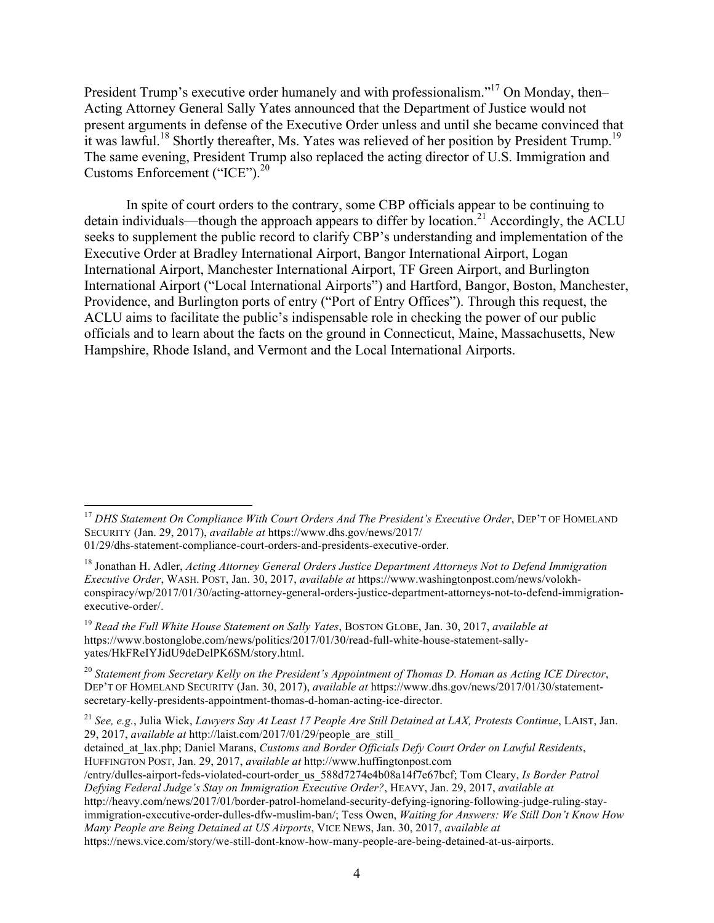President Trump's executive order humanely and with professionalism."<sup>17</sup> On Monday, then– Acting Attorney General Sally Yates announced that the Department of Justice would not present arguments in defense of the Executive Order unless and until she became convinced that it was lawful.<sup>18</sup> Shortly thereafter, Ms. Yates was relieved of her position by President Trump.<sup>19</sup> The same evening, President Trump also replaced the acting director of U.S. Immigration and Customs Enforcement ("ICE").<sup>20</sup>

In spite of court orders to the contrary, some CBP officials appear to be continuing to detain individuals—though the approach appears to differ by location.<sup>21</sup> Accordingly, the ACLU seeks to supplement the public record to clarify CBP's understanding and implementation of the Executive Order at Bradley International Airport, Bangor International Airport, Logan International Airport, Manchester International Airport, TF Green Airport, and Burlington International Airport ("Local International Airports") and Hartford, Bangor, Boston, Manchester, Providence, and Burlington ports of entry ("Port of Entry Offices"). Through this request, the ACLU aims to facilitate the public's indispensable role in checking the power of our public officials and to learn about the facts on the ground in Connecticut, Maine, Massachusetts, New Hampshire, Rhode Island, and Vermont and the Local International Airports.

<sup>&</sup>lt;sup>17</sup> *DHS Statement On Compliance With Court Orders And The President's Executive Order*, DEP'T OF HOMELAND SECURITY (Jan. 29, 2017), *available at* https://www.dhs.gov/news/2017/

<sup>01/29/</sup>dhs-statement-compliance-court-orders-and-presidents-executive-order.

<sup>18</sup> Jonathan H. Adler, *Acting Attorney General Orders Justice Department Attorneys Not to Defend Immigration Executive Order*, WASH. POST, Jan. 30, 2017, *available at* https://www.washingtonpost.com/news/volokhconspiracy/wp/2017/01/30/acting-attorney-general-orders-justice-department-attorneys-not-to-defend-immigrationexecutive-order/.

<sup>19</sup> *Read the Full White House Statement on Sally Yates*, BOSTON GLOBE, Jan. 30, 2017, *available at*  https://www.bostonglobe.com/news/politics/2017/01/30/read-full-white-house-statement-sallyyates/HkFReIYJidU9deDelPK6SM/story.html.

<sup>20</sup> *Statement from Secretary Kelly on the President's Appointment of Thomas D. Homan as Acting ICE Director*, DEP'T OF HOMELAND SECURITY (Jan. 30, 2017), *available at* https://www.dhs.gov/news/2017/01/30/statementsecretary-kelly-presidents-appointment-thomas-d-homan-acting-ice-director.

<sup>21</sup> *See, e.g.*, Julia Wick, *Lawyers Say At Least 17 People Are Still Detained at LAX, Protests Continue*, LAIST, Jan. 29, 2017, *available at* http://laist.com/2017/01/29/people\_are\_still\_

detained\_at\_lax.php; Daniel Marans, *Customs and Border Officials Defy Court Order on Lawful Residents*,

HUFFINGTON POST, Jan. 29, 2017, *available at* http://www.huffingtonpost.com

<sup>/</sup>entry/dulles-airport-feds-violated-court-order\_us\_588d7274e4b08a14f7e67bcf; Tom Cleary, *Is Border Patrol Defying Federal Judge's Stay on Immigration Executive Order?*, HEAVY, Jan. 29, 2017, *available at*  http://heavy.com/news/2017/01/border-patrol-homeland-security-defying-ignoring-following-judge-ruling-stay-

immigration-executive-order-dulles-dfw-muslim-ban/; Tess Owen, *Waiting for Answers: We Still Don't Know How Many People are Being Detained at US Airports*, VICE NEWS, Jan. 30, 2017, *available at* 

https://news.vice.com/story/we-still-dont-know-how-many-people-are-being-detained-at-us-airports.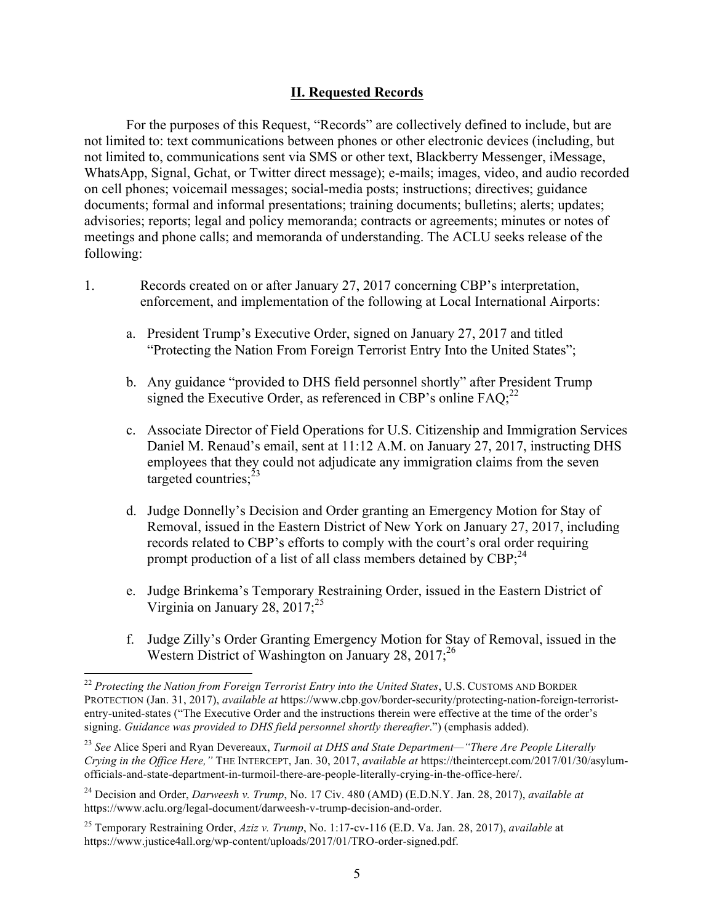#### **II. Requested Records**

For the purposes of this Request, "Records" are collectively defined to include, but are not limited to: text communications between phones or other electronic devices (including, but not limited to, communications sent via SMS or other text, Blackberry Messenger, iMessage, WhatsApp, Signal, Gchat, or Twitter direct message); e-mails; images, video, and audio recorded on cell phones; voicemail messages; social-media posts; instructions; directives; guidance documents; formal and informal presentations; training documents; bulletins; alerts; updates; advisories; reports; legal and policy memoranda; contracts or agreements; minutes or notes of meetings and phone calls; and memoranda of understanding. The ACLU seeks release of the following:

- 1. Records created on or after January 27, 2017 concerning CBP's interpretation, enforcement, and implementation of the following at Local International Airports:
	- a. President Trump's Executive Order, signed on January 27, 2017 and titled "Protecting the Nation From Foreign Terrorist Entry Into the United States";
	- b. Any guidance "provided to DHS field personnel shortly" after President Trump signed the Executive Order, as referenced in CBP's online  $FAQ<sub>i</sub><sup>22</sup>$
	- c. Associate Director of Field Operations for U.S. Citizenship and Immigration Services Daniel M. Renaud's email, sent at 11:12 A.M. on January 27, 2017, instructing DHS employees that they could not adjudicate any immigration claims from the seven targeted countries; $^{23}$
	- d. Judge Donnelly's Decision and Order granting an Emergency Motion for Stay of Removal, issued in the Eastern District of New York on January 27, 2017, including records related to CBP's efforts to comply with the court's oral order requiring prompt production of a list of all class members detained by CBP;<sup>24</sup>
	- e. Judge Brinkema's Temporary Restraining Order, issued in the Eastern District of Virginia on January 28,  $2017$ ;<sup>25</sup>
	- f. Judge Zilly's Order Granting Emergency Motion for Stay of Removal, issued in the Western District of Washington on January 28, 2017;<sup>26</sup>

 <sup>22</sup> *Protecting the Nation from Foreign Terrorist Entry into the United States*, U.S. CUSTOMS AND BORDER PROTECTION (Jan. 31, 2017), *available at* https://www.cbp.gov/border-security/protecting-nation-foreign-terroristentry-united-states ("The Executive Order and the instructions therein were effective at the time of the order's signing. *Guidance was provided to DHS field personnel shortly thereafter*.") (emphasis added).

<sup>23</sup> *See* Alice Speri and Ryan Devereaux, *Turmoil at DHS and State Department—"There Are People Literally Crying in the Office Here,"* THE INTERCEPT, Jan. 30, 2017, *available at* https://theintercept.com/2017/01/30/asylumofficials-and-state-department-in-turmoil-there-are-people-literally-crying-in-the-office-here/.

<sup>24</sup> Decision and Order, *Darweesh v. Trump*, No. 17 Civ. 480 (AMD) (E.D.N.Y. Jan. 28, 2017), *available at*  https://www.aclu.org/legal-document/darweesh-v-trump-decision-and-order.

<sup>25</sup> Temporary Restraining Order, *Aziz v. Trump*, No. 1:17-cv-116 (E.D. Va. Jan. 28, 2017), *available* at https://www.justice4all.org/wp-content/uploads/2017/01/TRO-order-signed.pdf.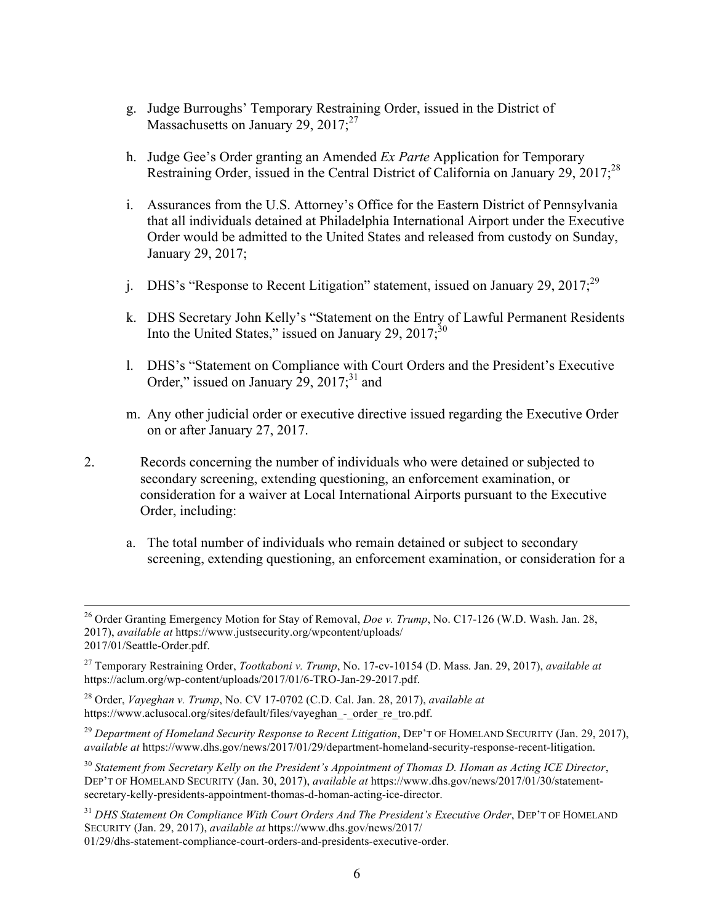- g. Judge Burroughs' Temporary Restraining Order, issued in the District of Massachusetts on January 29,  $2017$ ;<sup>27</sup>
- h. Judge Gee's Order granting an Amended *Ex Parte* Application for Temporary Restraining Order, issued in the Central District of California on January 29, 2017;<sup>28</sup>
- i. Assurances from the U.S. Attorney's Office for the Eastern District of Pennsylvania that all individuals detained at Philadelphia International Airport under the Executive Order would be admitted to the United States and released from custody on Sunday, January 29, 2017;
- j. DHS's "Response to Recent Litigation" statement, issued on January 29, 2017;  $^{29}$
- k. DHS Secretary John Kelly's "Statement on the Entry of Lawful Permanent Residents Into the United States," issued on January 29,  $2017$ ;  $30$
- l. DHS's "Statement on Compliance with Court Orders and the President's Executive Order," issued on January  $29$ ,  $2017$ ;  $31$  and
- m. Any other judicial order or executive directive issued regarding the Executive Order on or after January 27, 2017.
- 2. Records concerning the number of individuals who were detained or subjected to secondary screening, extending questioning, an enforcement examination, or consideration for a waiver at Local International Airports pursuant to the Executive Order, including:
	- a. The total number of individuals who remain detained or subject to secondary screening, extending questioning, an enforcement examination, or consideration for a

<sup>31</sup> DHS Statement On Compliance With Court Orders And The President's Executive Order, DEP'T OF HOMELAND SECURITY (Jan. 29, 2017), *available at* https://www.dhs.gov/news/2017/ 01/29/dhs-statement-compliance-court-orders-and-presidents-executive-order.

<sup>&</sup>lt;sup>26</sup> Order Granting Emergency Motion for Stay of Removal, *Doe v. Trump*, No. C17-126 (W.D. Wash. Jan. 28, 2017), *available at* https://www.justsecurity.org/wpcontent/uploads/ 2017/01/Seattle-Order.pdf.

<sup>27</sup> Temporary Restraining Order, *Tootkaboni v. Trump*, No. 17-cv-10154 (D. Mass. Jan. 29, 2017), *available at*  https://aclum.org/wp-content/uploads/2017/01/6-TRO-Jan-29-2017.pdf.

<sup>28</sup> Order, *Vayeghan v. Trump*, No. CV 17-0702 (C.D. Cal. Jan. 28, 2017), *available at*  https://www.aclusocal.org/sites/default/files/vayeghan - order re tro.pdf.

<sup>29</sup> *Department of Homeland Security Response to Recent Litigation*, DEP'T OF HOMELAND SECURITY (Jan. 29, 2017), *available at* https://www.dhs.gov/news/2017/01/29/department-homeland-security-response-recent-litigation.

<sup>30</sup> *Statement from Secretary Kelly on the President's Appointment of Thomas D. Homan as Acting ICE Director*, DEP'T OF HOMELAND SECURITY (Jan. 30, 2017), *available at* https://www.dhs.gov/news/2017/01/30/statementsecretary-kelly-presidents-appointment-thomas-d-homan-acting-ice-director.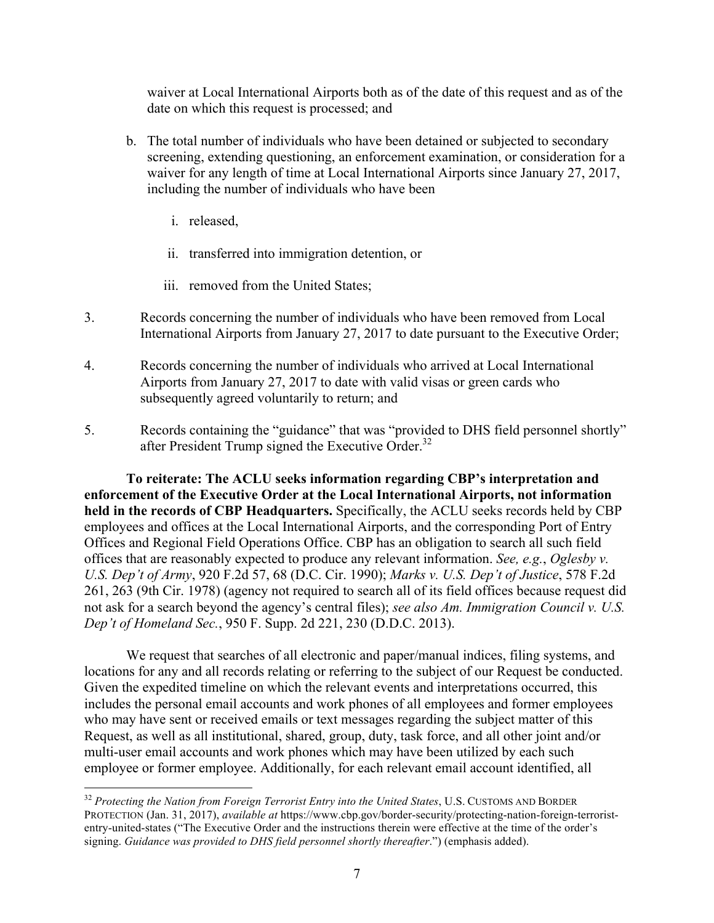waiver at Local International Airports both as of the date of this request and as of the date on which this request is processed; and

- b. The total number of individuals who have been detained or subjected to secondary screening, extending questioning, an enforcement examination, or consideration for a waiver for any length of time at Local International Airports since January 27, 2017, including the number of individuals who have been
	- i. released,
	- ii. transferred into immigration detention, or
	- iii. removed from the United States;
- 3. Records concerning the number of individuals who have been removed from Local International Airports from January 27, 2017 to date pursuant to the Executive Order;
- 4. Records concerning the number of individuals who arrived at Local International Airports from January 27, 2017 to date with valid visas or green cards who subsequently agreed voluntarily to return; and
- 5. Records containing the "guidance" that was "provided to DHS field personnel shortly" after President Trump signed the Executive Order.<sup>32</sup>

**To reiterate: The ACLU seeks information regarding CBP's interpretation and enforcement of the Executive Order at the Local International Airports, not information held in the records of CBP Headquarters.** Specifically, the ACLU seeks records held by CBP employees and offices at the Local International Airports, and the corresponding Port of Entry Offices and Regional Field Operations Office. CBP has an obligation to search all such field offices that are reasonably expected to produce any relevant information. *See, e.g.*, *Oglesby v. U.S. Dep't of Army*, 920 F.2d 57, 68 (D.C. Cir. 1990); *Marks v. U.S. Dep't of Justice*, 578 F.2d 261, 263 (9th Cir. 1978) (agency not required to search all of its field offices because request did not ask for a search beyond the agency's central files); *see also Am. Immigration Council v. U.S. Dep't of Homeland Sec.*, 950 F. Supp. 2d 221, 230 (D.D.C. 2013).

We request that searches of all electronic and paper/manual indices, filing systems, and locations for any and all records relating or referring to the subject of our Request be conducted. Given the expedited timeline on which the relevant events and interpretations occurred, this includes the personal email accounts and work phones of all employees and former employees who may have sent or received emails or text messages regarding the subject matter of this Request, as well as all institutional, shared, group, duty, task force, and all other joint and/or multi-user email accounts and work phones which may have been utilized by each such employee or former employee. Additionally, for each relevant email account identified, all

 <sup>32</sup> *Protecting the Nation from Foreign Terrorist Entry into the United States*, U.S. CUSTOMS AND BORDER PROTECTION (Jan. 31, 2017), *available at* https://www.cbp.gov/border-security/protecting-nation-foreign-terroristentry-united-states ("The Executive Order and the instructions therein were effective at the time of the order's signing. *Guidance was provided to DHS field personnel shortly thereafter*.") (emphasis added).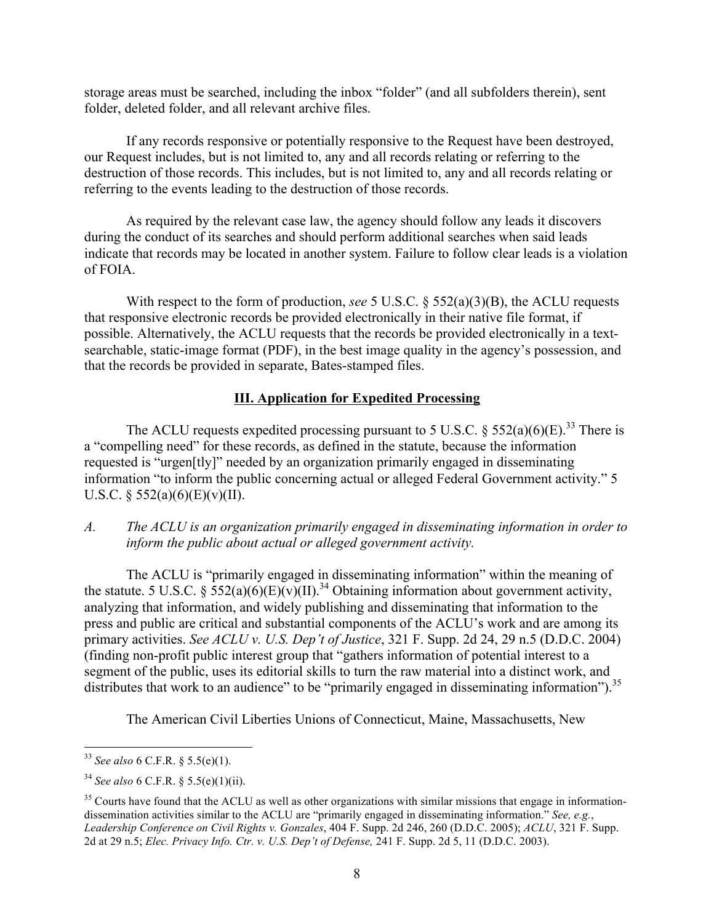storage areas must be searched, including the inbox "folder" (and all subfolders therein), sent folder, deleted folder, and all relevant archive files.

If any records responsive or potentially responsive to the Request have been destroyed, our Request includes, but is not limited to, any and all records relating or referring to the destruction of those records. This includes, but is not limited to, any and all records relating or referring to the events leading to the destruction of those records.

As required by the relevant case law, the agency should follow any leads it discovers during the conduct of its searches and should perform additional searches when said leads indicate that records may be located in another system. Failure to follow clear leads is a violation of FOIA.

With respect to the form of production, *see* 5 U.S.C. § 552(a)(3)(B), the ACLU requests that responsive electronic records be provided electronically in their native file format, if possible. Alternatively, the ACLU requests that the records be provided electronically in a textsearchable, static-image format (PDF), in the best image quality in the agency's possession, and that the records be provided in separate, Bates-stamped files.

## **III. Application for Expedited Processing**

The ACLU requests expedited processing pursuant to 5 U.S.C.  $\delta$  552(a)(6)(E).<sup>33</sup> There is a "compelling need" for these records, as defined in the statute, because the information requested is "urgen[tly]" needed by an organization primarily engaged in disseminating information "to inform the public concerning actual or alleged Federal Government activity." 5 U.S.C. § 552(a)(6)(E)(v)(II).

## *A. The ACLU is an organization primarily engaged in disseminating information in order to inform the public about actual or alleged government activity.*

The ACLU is "primarily engaged in disseminating information" within the meaning of the statute. 5 U.S.C. §  $552(a)(6)(E)(v)(II).$ <sup>34</sup> Obtaining information about government activity, analyzing that information, and widely publishing and disseminating that information to the press and public are critical and substantial components of the ACLU's work and are among its primary activities. *See ACLU v. U.S. Dep't of Justice*, 321 F. Supp. 2d 24, 29 n.5 (D.D.C. 2004) (finding non-profit public interest group that "gathers information of potential interest to a segment of the public, uses its editorial skills to turn the raw material into a distinct work, and distributes that work to an audience" to be "primarily engaged in disseminating information").<sup>35</sup>

The American Civil Liberties Unions of Connecticut, Maine, Massachusetts, New

 <sup>33</sup> *See also* 6 C.F.R. § 5.5(e)(1).

<sup>34</sup> *See also* 6 C.F.R. § 5.5(e)(1)(ii).

 $35$  Courts have found that the ACLU as well as other organizations with similar missions that engage in informationdissemination activities similar to the ACLU are "primarily engaged in disseminating information." *See, e.g.*, *Leadership Conference on Civil Rights v. Gonzales*, 404 F. Supp. 2d 246, 260 (D.D.C. 2005); *ACLU*, 321 F. Supp. 2d at 29 n.5; *Elec. Privacy Info. Ctr. v. U.S. Dep't of Defense,* 241 F. Supp. 2d 5, 11 (D.D.C. 2003).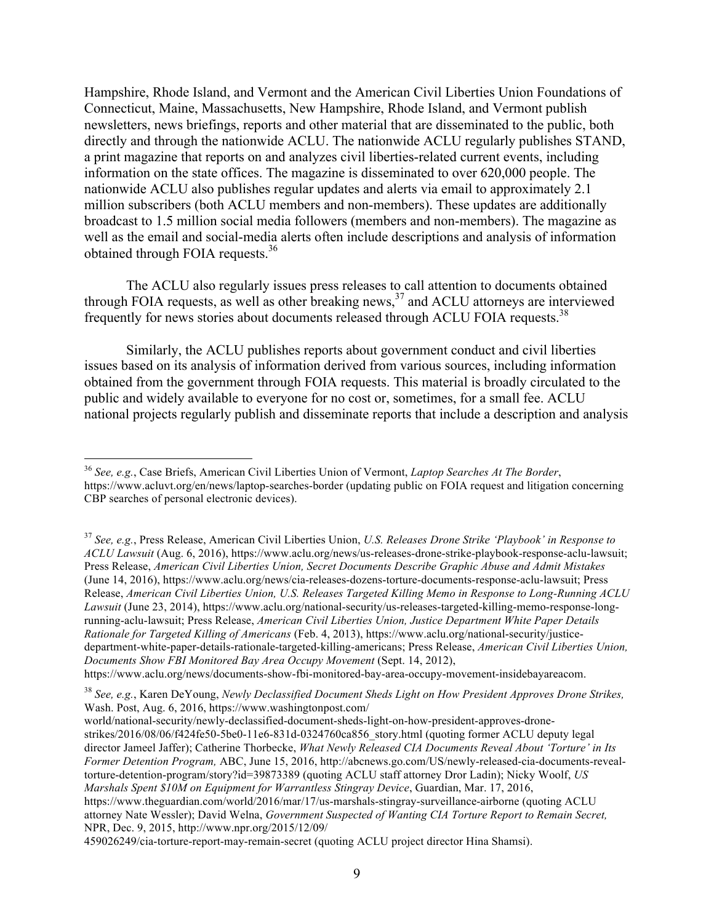Hampshire, Rhode Island, and Vermont and the American Civil Liberties Union Foundations of Connecticut, Maine, Massachusetts, New Hampshire, Rhode Island, and Vermont publish newsletters, news briefings, reports and other material that are disseminated to the public, both directly and through the nationwide ACLU. The nationwide ACLU regularly publishes STAND, a print magazine that reports on and analyzes civil liberties-related current events, including information on the state offices. The magazine is disseminated to over 620,000 people. The nationwide ACLU also publishes regular updates and alerts via email to approximately 2.1 million subscribers (both ACLU members and non-members). These updates are additionally broadcast to 1.5 million social media followers (members and non-members). The magazine as well as the email and social-media alerts often include descriptions and analysis of information obtained through FOIA requests.<sup>36</sup>

The ACLU also regularly issues press releases to call attention to documents obtained through FOIA requests, as well as other breaking news, $37$  and ACLU attorneys are interviewed frequently for news stories about documents released through ACLU FOIA requests.<sup>38</sup>

Similarly, the ACLU publishes reports about government conduct and civil liberties issues based on its analysis of information derived from various sources, including information obtained from the government through FOIA requests. This material is broadly circulated to the public and widely available to everyone for no cost or, sometimes, for a small fee. ACLU national projects regularly publish and disseminate reports that include a description and analysis

 <sup>36</sup> *See, e.g.*, Case Briefs, American Civil Liberties Union of Vermont, *Laptop Searches At The Border*, https://www.acluvt.org/en/news/laptop-searches-border (updating public on FOIA request and litigation concerning CBP searches of personal electronic devices).

<sup>37</sup> *See, e.g.*, Press Release, American Civil Liberties Union, *U.S. Releases Drone Strike 'Playbook' in Response to ACLU Lawsuit* (Aug. 6, 2016), https://www.aclu.org/news/us-releases-drone-strike-playbook-response-aclu-lawsuit; Press Release, *American Civil Liberties Union, Secret Documents Describe Graphic Abuse and Admit Mistakes* (June 14, 2016), https://www.aclu.org/news/cia-releases-dozens-torture-documents-response-aclu-lawsuit; Press Release, *American Civil Liberties Union, U.S. Releases Targeted Killing Memo in Response to Long-Running ACLU Lawsuit* (June 23, 2014), https://www.aclu.org/national-security/us-releases-targeted-killing-memo-response-longrunning-aclu-lawsuit; Press Release, *American Civil Liberties Union, Justice Department White Paper Details Rationale for Targeted Killing of Americans* (Feb. 4, 2013), https://www.aclu.org/national-security/justicedepartment-white-paper-details-rationale-targeted-killing-americans; Press Release, *American Civil Liberties Union, Documents Show FBI Monitored Bay Area Occupy Movement* (Sept. 14, 2012), https://www.aclu.org/news/documents-show-fbi-monitored-bay-area-occupy-movement-insidebayareacom.

<sup>38</sup> *See, e.g.*, Karen DeYoung, *Newly Declassified Document Sheds Light on How President Approves Drone Strikes,*  Wash. Post, Aug. 6, 2016, https://www.washingtonpost.com/

world/national-security/newly-declassified-document-sheds-light-on-how-president-approves-dronestrikes/2016/08/06/f424fe50-5be0-11e6-831d-0324760ca856\_story.html (quoting former ACLU deputy legal director Jameel Jaffer); Catherine Thorbecke, *What Newly Released CIA Documents Reveal About 'Torture' in Its Former Detention Program,* ABC, June 15, 2016, http://abcnews.go.com/US/newly-released-cia-documents-revealtorture-detention-program/story?id=39873389 (quoting ACLU staff attorney Dror Ladin); Nicky Woolf, *US Marshals Spent \$10M on Equipment for Warrantless Stingray Device*, Guardian, Mar. 17, 2016, https://www.theguardian.com/world/2016/mar/17/us-marshals-stingray-surveillance-airborne (quoting ACLU attorney Nate Wessler); David Welna, *Government Suspected of Wanting CIA Torture Report to Remain Secret,* NPR, Dec. 9, 2015, http://www.npr.org/2015/12/09/

<sup>459026249/</sup>cia-torture-report-may-remain-secret (quoting ACLU project director Hina Shamsi).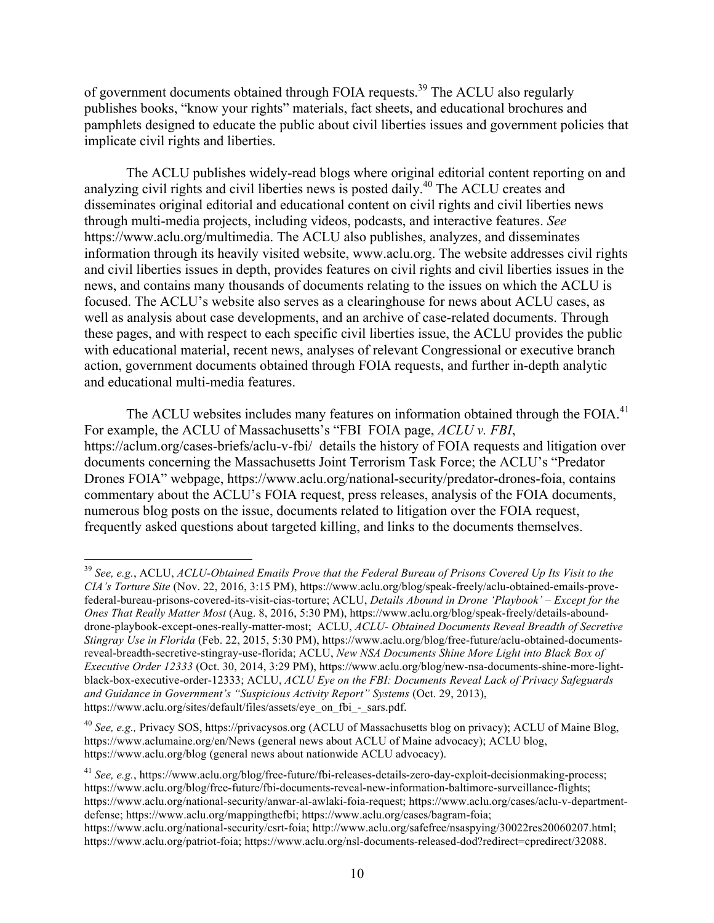of government documents obtained through FOIA requests.<sup>39</sup> The ACLU also regularly publishes books, "know your rights" materials, fact sheets, and educational brochures and pamphlets designed to educate the public about civil liberties issues and government policies that implicate civil rights and liberties.

The ACLU publishes widely-read blogs where original editorial content reporting on and analyzing civil rights and civil liberties news is posted daily.<sup>40</sup> The ACLU creates and disseminates original editorial and educational content on civil rights and civil liberties news through multi-media projects, including videos, podcasts, and interactive features. *See*  https://www.aclu.org/multimedia. The ACLU also publishes, analyzes, and disseminates information through its heavily visited website, www.aclu.org. The website addresses civil rights and civil liberties issues in depth, provides features on civil rights and civil liberties issues in the news, and contains many thousands of documents relating to the issues on which the ACLU is focused. The ACLU's website also serves as a clearinghouse for news about ACLU cases, as well as analysis about case developments, and an archive of case-related documents. Through these pages, and with respect to each specific civil liberties issue, the ACLU provides the public with educational material, recent news, analyses of relevant Congressional or executive branch action, government documents obtained through FOIA requests, and further in-depth analytic and educational multi-media features.

The ACLU websites includes many features on information obtained through the FOIA.<sup>41</sup> For example, the ACLU of Massachusetts's "FBI FOIA page, *ACLU v. FBI*, https://aclum.org/cases-briefs/aclu-v-fbi/ details the history of FOIA requests and litigation over documents concerning the Massachusetts Joint Terrorism Task Force; the ACLU's "Predator Drones FOIA" webpage, https://www.aclu.org/national-security/predator-drones-foia, contains commentary about the ACLU's FOIA request, press releases, analysis of the FOIA documents, numerous blog posts on the issue, documents related to litigation over the FOIA request, frequently asked questions about targeted killing, and links to the documents themselves.

 <sup>39</sup> *See, e.g.*, ACLU, *ACLU-Obtained Emails Prove that the Federal Bureau of Prisons Covered Up Its Visit to the CIA's Torture Site* (Nov. 22, 2016, 3:15 PM), https://www.aclu.org/blog/speak-freely/aclu-obtained-emails-provefederal-bureau-prisons-covered-its-visit-cias-torture; ACLU, *Details Abound in Drone 'Playbook' – Except for the Ones That Really Matter Most* (Aug. 8, 2016, 5:30 PM), https://www.aclu.org/blog/speak-freely/details-abounddrone-playbook-except-ones-really-matter-most; ACLU, *ACLU- Obtained Documents Reveal Breadth of Secretive Stingray Use in Florida* (Feb. 22, 2015, 5:30 PM), https://www.aclu.org/blog/free-future/aclu-obtained-documentsreveal-breadth-secretive-stingray-use-florida; ACLU, *New NSA Documents Shine More Light into Black Box of Executive Order 12333* (Oct. 30, 2014, 3:29 PM), https://www.aclu.org/blog/new-nsa-documents-shine-more-lightblack-box-executive-order-12333; ACLU, *ACLU Eye on the FBI: Documents Reveal Lack of Privacy Safeguards and Guidance in Government's "Suspicious Activity Report" Systems* (Oct. 29, 2013), https://www.aclu.org/sites/default/files/assets/eye\_on\_fbi\_-\_sars.pdf.

<sup>40</sup> *See, e.g.,* Privacy SOS, https://privacysos.org (ACLU of Massachusetts blog on privacy); ACLU of Maine Blog, https://www.aclumaine.org/en/News (general news about ACLU of Maine advocacy); ACLU blog, https://www.aclu.org/blog (general news about nationwide ACLU advocacy).

<sup>41</sup> *See, e.g.*, https://www.aclu.org/blog/free-future/fbi-releases-details-zero-day-exploit-decisionmaking-process; https://www.aclu.org/blog/free-future/fbi-documents-reveal-new-information-baltimore-surveillance-flights; https://www.aclu.org/national-security/anwar-al-awlaki-foia-request; https://www.aclu.org/cases/aclu-v-departmentdefense; https://www.aclu.org/mappingthefbi; https://www.aclu.org/cases/bagram-foia;

https://www.aclu.org/national-security/csrt-foia; http://www.aclu.org/safefree/nsaspying/30022res20060207.html; https://www.aclu.org/patriot-foia; https://www.aclu.org/nsl-documents-released-dod?redirect=cpredirect/32088.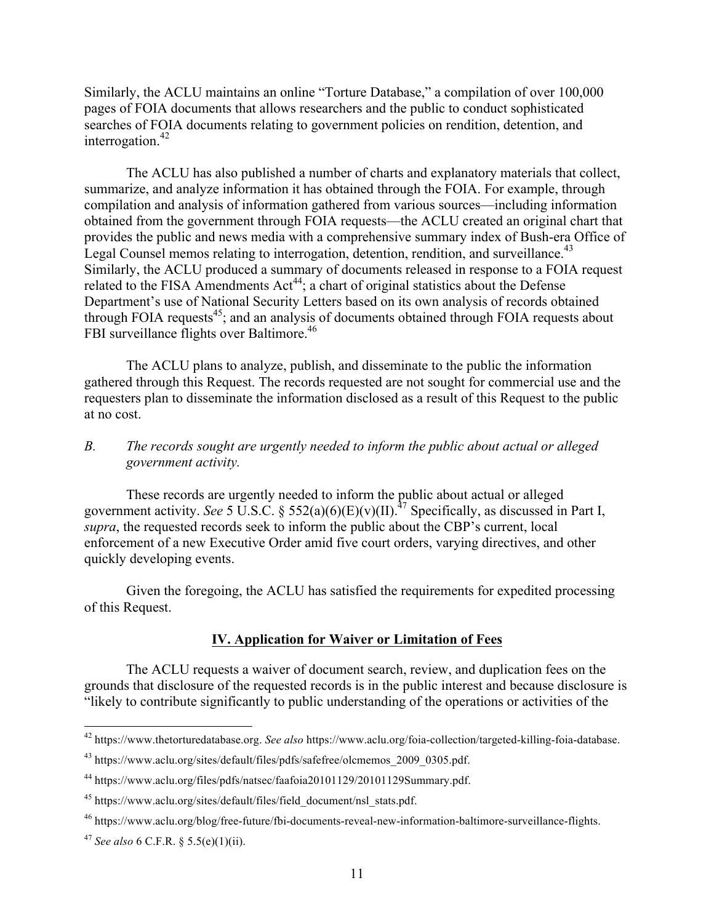Similarly, the ACLU maintains an online "Torture Database," a compilation of over 100,000 pages of FOIA documents that allows researchers and the public to conduct sophisticated searches of FOIA documents relating to government policies on rendition, detention, and interrogation. $42$ 

The ACLU has also published a number of charts and explanatory materials that collect, summarize, and analyze information it has obtained through the FOIA. For example, through compilation and analysis of information gathered from various sources—including information obtained from the government through FOIA requests—the ACLU created an original chart that provides the public and news media with a comprehensive summary index of Bush-era Office of Legal Counsel memos relating to interrogation, detention, rendition, and surveillance.<sup>43</sup> Similarly, the ACLU produced a summary of documents released in response to a FOIA request related to the FISA Amendments  $Act^{44}$ ; a chart of original statistics about the Defense Department's use of National Security Letters based on its own analysis of records obtained through FOIA requests $45$ ; and an analysis of documents obtained through FOIA requests about FBI surveillance flights over Baltimore.<sup>46</sup>

The ACLU plans to analyze, publish, and disseminate to the public the information gathered through this Request. The records requested are not sought for commercial use and the requesters plan to disseminate the information disclosed as a result of this Request to the public at no cost.

#### *B. The records sought are urgently needed to inform the public about actual or alleged government activity.*

These records are urgently needed to inform the public about actual or alleged government activity. *See* 5 U.S.C. § 552(a)(6)(E)(v)(II).<sup>47</sup> Specifically, as discussed in Part I, *supra*, the requested records seek to inform the public about the CBP's current, local enforcement of a new Executive Order amid five court orders, varying directives, and other quickly developing events.

Given the foregoing, the ACLU has satisfied the requirements for expedited processing of this Request.

#### **IV. Application for Waiver or Limitation of Fees**

The ACLU requests a waiver of document search, review, and duplication fees on the grounds that disclosure of the requested records is in the public interest and because disclosure is "likely to contribute significantly to public understanding of the operations or activities of the

 <sup>42</sup> https://www.thetorturedatabase.org. *See also* https://www.aclu.org/foia-collection/targeted-killing-foia-database.

<sup>43</sup> https://www.aclu.org/sites/default/files/pdfs/safefree/olcmemos\_2009\_0305.pdf.

<sup>44</sup> https://www.aclu.org/files/pdfs/natsec/faafoia20101129/20101129Summary.pdf.

<sup>&</sup>lt;sup>45</sup> https://www.aclu.org/sites/default/files/field\_document/nsl\_stats.pdf.

<sup>46</sup> https://www.aclu.org/blog/free-future/fbi-documents-reveal-new-information-baltimore-surveillance-flights.

<sup>47</sup> *See also* 6 C.F.R. § 5.5(e)(1)(ii).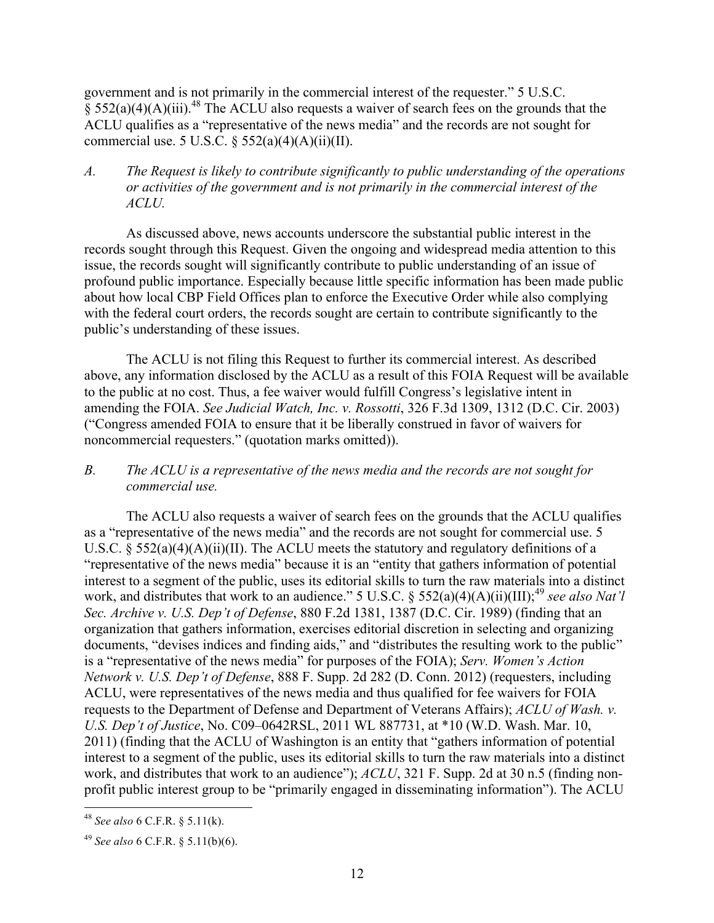government and is not primarily in the commercial interest of the requester." 5 U.S.C.  $\frac{8}{9}$  552(a)(4)(A)(iii).<sup>48</sup> The ACLU also requests a waiver of search fees on the grounds that the ACLU qualifies as a "representative of the news media" and the records are not sought for commercial use. 5 U.S.C.  $\S$  552(a)(4)(A)(ii)(II).

## *A. The Request is likely to contribute significantly to public understanding of the operations or activities of the government and is not primarily in the commercial interest of the ACLU.*

As discussed above, news accounts underscore the substantial public interest in the records sought through this Request. Given the ongoing and widespread media attention to this issue, the records sought will significantly contribute to public understanding of an issue of profound public importance. Especially because little specific information has been made public about how local CBP Field Offices plan to enforce the Executive Order while also complying with the federal court orders, the records sought are certain to contribute significantly to the public's understanding of these issues.

The ACLU is not filing this Request to further its commercial interest. As described above, any information disclosed by the ACLU as a result of this FOIA Request will be available to the public at no cost. Thus, a fee waiver would fulfill Congress's legislative intent in amending the FOIA. *See Judicial Watch, Inc. v. Rossotti*, 326 F.3d 1309, 1312 (D.C. Cir. 2003) ("Congress amended FOIA to ensure that it be liberally construed in favor of waivers for noncommercial requesters." (quotation marks omitted)).

## *B. The ACLU is a representative of the news media and the records are not sought for commercial use.*

The ACLU also requests a waiver of search fees on the grounds that the ACLU qualifies as a "representative of the news media" and the records are not sought for commercial use. 5 U.S.C.  $\S$  552(a)(4)(A)(ii)(II). The ACLU meets the statutory and regulatory definitions of a "representative of the news media" because it is an "entity that gathers information of potential interest to a segment of the public, uses its editorial skills to turn the raw materials into a distinct work, and distributes that work to an audience." 5 U.S.C. § 552(a)(4)(A)(ii)(III);<sup>49</sup> see also Nat'l *Sec. Archive v. U.S. Dep't of Defense*, 880 F.2d 1381, 1387 (D.C. Cir. 1989) (finding that an organization that gathers information, exercises editorial discretion in selecting and organizing documents, "devises indices and finding aids," and "distributes the resulting work to the public" is a "representative of the news media" for purposes of the FOIA); *Serv. Women's Action Network v. U.S. Dep't of Defense*, 888 F. Supp. 2d 282 (D. Conn. 2012) (requesters, including ACLU, were representatives of the news media and thus qualified for fee waivers for FOIA requests to the Department of Defense and Department of Veterans Affairs); *ACLU of Wash. v. U.S. Dep't of Justice*, No. C09–0642RSL, 2011 WL 887731, at \*10 (W.D. Wash. Mar. 10, 2011) (finding that the ACLU of Washington is an entity that "gathers information of potential interest to a segment of the public, uses its editorial skills to turn the raw materials into a distinct work, and distributes that work to an audience"); *ACLU*, 321 F. Supp. 2d at 30 n.5 (finding nonprofit public interest group to be "primarily engaged in disseminating information"). The ACLU

 <sup>48</sup> *See also* 6 C.F.R. § 5.11(k).

<sup>49</sup> *See also* 6 C.F.R. § 5.11(b)(6).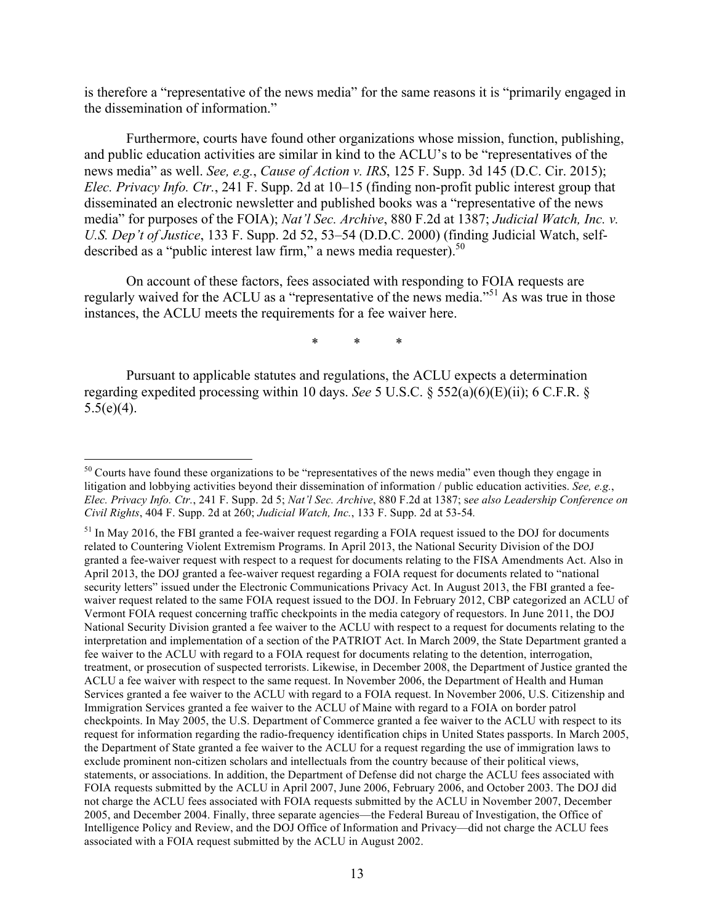is therefore a "representative of the news media" for the same reasons it is "primarily engaged in the dissemination of information."

Furthermore, courts have found other organizations whose mission, function, publishing, and public education activities are similar in kind to the ACLU's to be "representatives of the news media" as well. *See, e.g.*, *Cause of Action v. IRS*, 125 F. Supp. 3d 145 (D.C. Cir. 2015); *Elec. Privacy Info. Ctr.*, 241 F. Supp. 2d at 10–15 (finding non-profit public interest group that disseminated an electronic newsletter and published books was a "representative of the news media" for purposes of the FOIA); *Nat'l Sec. Archive*, 880 F.2d at 1387; *Judicial Watch, Inc. v. U.S. Dep't of Justice*, 133 F. Supp. 2d 52, 53–54 (D.D.C. 2000) (finding Judicial Watch, selfdescribed as a "public interest law firm," a news media requester).<sup>50</sup>

On account of these factors, fees associated with responding to FOIA requests are regularly waived for the ACLU as a "representative of the news media."<sup>51</sup> As was true in those instances, the ACLU meets the requirements for a fee waiver here.

\* \* \*

Pursuant to applicable statutes and regulations, the ACLU expects a determination regarding expedited processing within 10 days. *See* 5 U.S.C. § 552(a)(6)(E)(ii); 6 C.F.R. §  $5.5(e)(4)$ .

<sup>&</sup>lt;sup>50</sup> Courts have found these organizations to be "representatives of the news media" even though they engage in litigation and lobbying activities beyond their dissemination of information / public education activities. *See, e.g.*, *Elec. Privacy Info. Ctr.*, 241 F. Supp. 2d 5; *Nat'l Sec. Archive*, 880 F.2d at 1387; s*ee also Leadership Conference on Civil Rights*, 404 F. Supp. 2d at 260; *Judicial Watch, Inc.*, 133 F. Supp. 2d at 53-54*.* 

<sup>&</sup>lt;sup>51</sup> In May 2016, the FBI granted a fee-waiver request regarding a FOIA request issued to the DOJ for documents related to Countering Violent Extremism Programs. In April 2013, the National Security Division of the DOJ granted a fee-waiver request with respect to a request for documents relating to the FISA Amendments Act. Also in April 2013, the DOJ granted a fee-waiver request regarding a FOIA request for documents related to "national security letters" issued under the Electronic Communications Privacy Act. In August 2013, the FBI granted a feewaiver request related to the same FOIA request issued to the DOJ. In February 2012, CBP categorized an ACLU of Vermont FOIA request concerning traffic checkpoints in the media category of requestors. In June 2011, the DOJ National Security Division granted a fee waiver to the ACLU with respect to a request for documents relating to the interpretation and implementation of a section of the PATRIOT Act. In March 2009, the State Department granted a fee waiver to the ACLU with regard to a FOIA request for documents relating to the detention, interrogation, treatment, or prosecution of suspected terrorists. Likewise, in December 2008, the Department of Justice granted the ACLU a fee waiver with respect to the same request. In November 2006, the Department of Health and Human Services granted a fee waiver to the ACLU with regard to a FOIA request. In November 2006, U.S. Citizenship and Immigration Services granted a fee waiver to the ACLU of Maine with regard to a FOIA on border patrol checkpoints. In May 2005, the U.S. Department of Commerce granted a fee waiver to the ACLU with respect to its request for information regarding the radio-frequency identification chips in United States passports. In March 2005, the Department of State granted a fee waiver to the ACLU for a request regarding the use of immigration laws to exclude prominent non-citizen scholars and intellectuals from the country because of their political views, statements, or associations. In addition, the Department of Defense did not charge the ACLU fees associated with FOIA requests submitted by the ACLU in April 2007, June 2006, February 2006, and October 2003. The DOJ did not charge the ACLU fees associated with FOIA requests submitted by the ACLU in November 2007, December 2005, and December 2004. Finally, three separate agencies—the Federal Bureau of Investigation, the Office of Intelligence Policy and Review, and the DOJ Office of Information and Privacy—did not charge the ACLU fees associated with a FOIA request submitted by the ACLU in August 2002.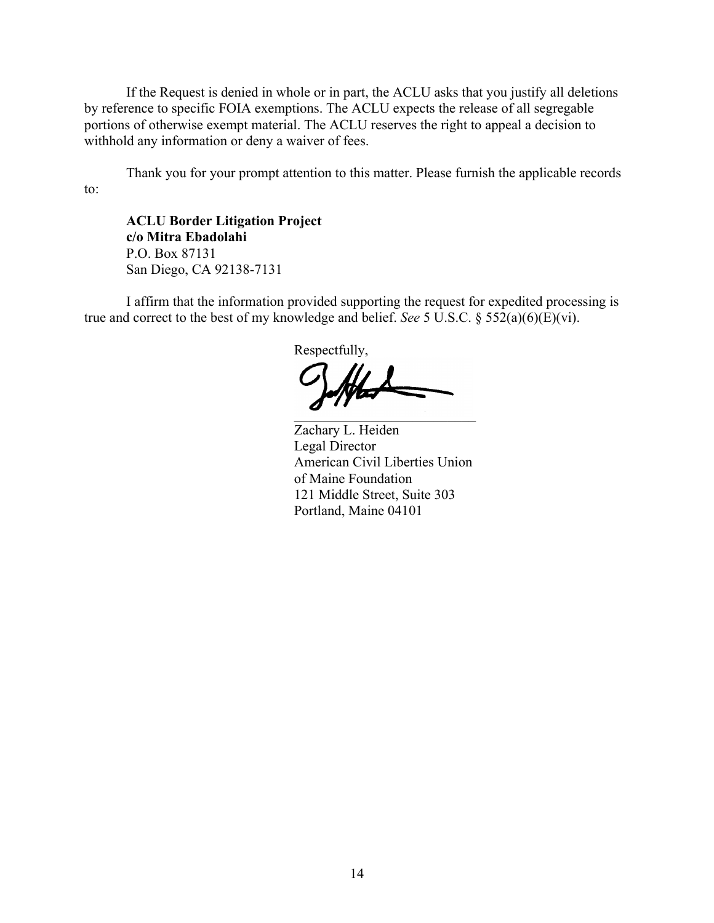If the Request is denied in whole or in part, the ACLU asks that you justify all deletions by reference to specific FOIA exemptions. The ACLU expects the release of all segregable portions of otherwise exempt material. The ACLU reserves the right to appeal a decision to withhold any information or deny a waiver of fees.

Thank you for your prompt attention to this matter. Please furnish the applicable records to:

**ACLU Border Litigation Project c/o Mitra Ebadolahi** P.O. Box 87131 San Diego, CA 92138-7131

I affirm that the information provided supporting the request for expedited processing is true and correct to the best of my knowledge and belief. *See* 5 U.S.C. § 552(a)(6)(E)(vi).

Respectfully,  $\Box$ 

Zachary L. Heiden Legal Director American Civil Liberties Union of Maine Foundation 121 Middle Street, Suite 303 Portland, Maine 04101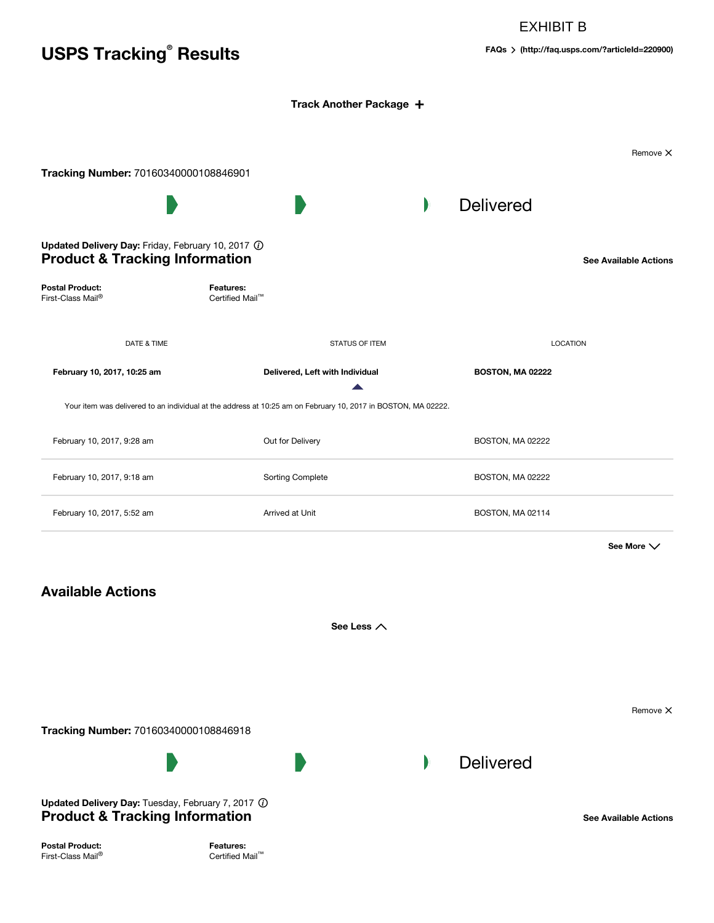## EXHIBIT B

# **USPS Tracking Results**

**® FAQs [\(http://faq.usps.com/?articleId=220900\)](http://faq.usps.com/?articleId=220900)**

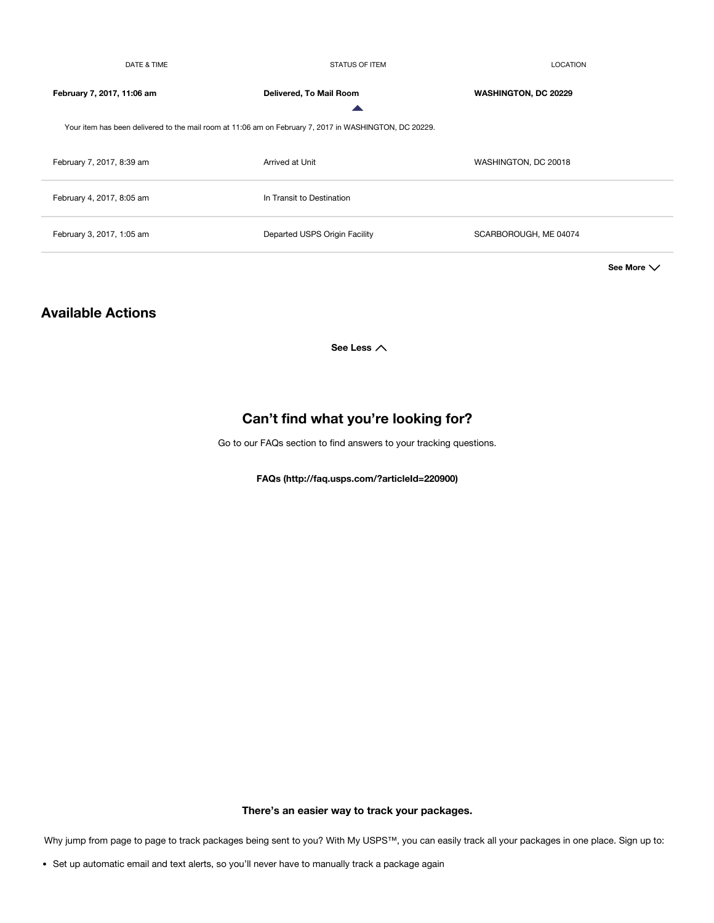| DATE & TIME                                                                                            | <b>STATUS OF ITEM</b><br><b>LOCATION</b> |                             |  |  |
|--------------------------------------------------------------------------------------------------------|------------------------------------------|-----------------------------|--|--|
| February 7, 2017, 11:06 am                                                                             | Delivered, To Mail Room                  | <b>WASHINGTON, DC 20229</b> |  |  |
| Your item has been delivered to the mail room at 11:06 am on February 7, 2017 in WASHINGTON, DC 20229. |                                          |                             |  |  |
| February 7, 2017, 8:39 am                                                                              | Arrived at Unit                          | WASHINGTON, DC 20018        |  |  |
| February 4, 2017, 8:05 am                                                                              | In Transit to Destination                |                             |  |  |
| February 3, 2017, 1:05 am                                                                              | Departed USPS Origin Facility            | SCARBOROUGH, ME 04074       |  |  |
|                                                                                                        |                                          | See More $\vee$             |  |  |

## **Available Actions**

**See Less**

# **Can't find what you're looking for?**

Go to our FAQs section to find answers to your tracking questions.

**FAQs [\(http://faq.usps.com/?articleId=220900\)](http://faq.usps.com/?articleId=220900)**

**There's an easier way to track your packages.**

Why jump from page to page to track packages being sent to you? With My USPS™, you can easily track all your packages in one place. Sign up to:

Set up automatic email and text alerts, so you'll never have to manually track a package again